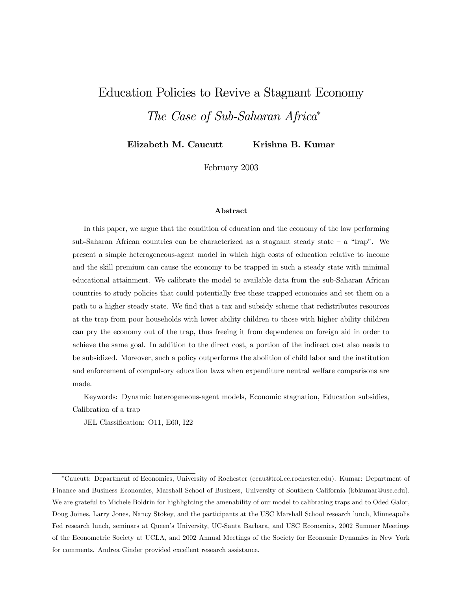# Education Policies to Revive a Stagnant Economy The Case of Sub-Saharan Africa<sup>∗</sup>

Elizabeth M. Caucutt Krishna B. Kumar

February 2003

#### Abstract

In this paper, we argue that the condition of education and the economy of the low performing sub-Saharan African countries can be characterized as a stagnant steady state  $-$  a "trap". We present a simple heterogeneous-agent model in which high costs of education relative to income and the skill premium can cause the economy to be trapped in such a steady state with minimal educational attainment. We calibrate the model to available data from the sub-Saharan African countries to study policies that could potentially free these trapped economies and set them on a path to a higher steady state. We find that a tax and subsidy scheme that redistributes resources at the trap from poor households with lower ability children to those with higher ability children can pry the economy out of the trap, thus freeing it from dependence on foreign aid in order to achieve the same goal. In addition to the direct cost, a portion of the indirect cost also needs to be subsidized. Moreover, such a policy outperforms the abolition of child labor and the institution and enforcement of compulsory education laws when expenditure neutral welfare comparisons are made.

Keywords: Dynamic heterogeneous-agent models, Economic stagnation, Education subsidies, Calibration of a trap

JEL Classification: O11, E60, I22

<sup>∗</sup>Caucutt: Department of Economics, University of Rochester (ecau@troi.cc.rochester.edu). Kumar: Department of Finance and Business Economics, Marshall School of Business, University of Southern California (kbkumar@usc.edu). We are grateful to Michele Boldrin for highlighting the amenability of our model to calibrating traps and to Oded Galor, Doug Joines, Larry Jones, Nancy Stokey, and the participants at the USC Marshall School research lunch, Minneapolis Fed research lunch, seminars at Queen's University, UC-Santa Barbara, and USC Economics, 2002 Summer Meetings of the Econometric Society at UCLA, and 2002 Annual Meetings of the Society for Economic Dynamics in New York for comments. Andrea Ginder provided excellent research assistance.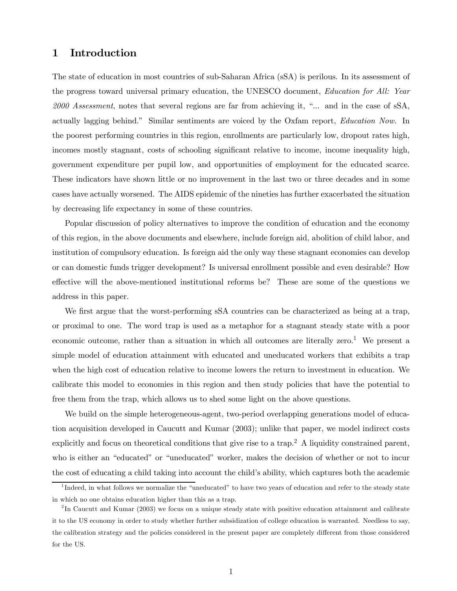## 1 Introduction

The state of education in most countries of sub-Saharan Africa (sSA) is perilous. In its assessment of the progress toward universal primary education, the UNESCO document, Education for All: Year 2000 Assessment, notes that several regions are far from achieving it, "... and in the case of sSA, actually lagging behind." Similar sentiments are voiced by the Oxfam report, Education Now. In the poorest performing countries in this region, enrollments are particularly low, dropout rates high, incomes mostly stagnant, costs of schooling significant relative to income, income inequality high, government expenditure per pupil low, and opportunities of employment for the educated scarce. These indicators have shown little or no improvement in the last two or three decades and in some cases have actually worsened. The AIDS epidemic of the nineties has further exacerbated the situation by decreasing life expectancy in some of these countries.

Popular discussion of policy alternatives to improve the condition of education and the economy of this region, in the above documents and elsewhere, include foreign aid, abolition of child labor, and institution of compulsory education. Is foreign aid the only way these stagnant economies can develop or can domestic funds trigger development? Is universal enrollment possible and even desirable? How effective will the above-mentioned institutional reforms be? These are some of the questions we address in this paper.

We first argue that the worst-performing sSA countries can be characterized as being at a trap, or proximal to one. The word trap is used as a metaphor for a stagnant steady state with a poor economic outcome, rather than a situation in which all outcomes are literally zero.<sup>1</sup> We present a simple model of education attainment with educated and uneducated workers that exhibits a trap when the high cost of education relative to income lowers the return to investment in education. We calibrate this model to economies in this region and then study policies that have the potential to free them from the trap, which allows us to shed some light on the above questions.

We build on the simple heterogeneous-agent, two-period overlapping generations model of education acquisition developed in Caucutt and Kumar (2003); unlike that paper, we model indirect costs explicitly and focus on theoretical conditions that give rise to a trap.<sup>2</sup> A liquidity constrained parent, who is either an "educated" or "uneducated" worker, makes the decision of whether or not to incur the cost of educating a child taking into account the child's ability, which captures both the academic

<sup>&</sup>lt;sup>1</sup>Indeed, in what follows we normalize the "uneducated" to have two years of education and refer to the steady state in which no one obtains education higher than this as a trap.

 $2$ In Caucutt and Kumar (2003) we focus on a unique steady state with positive education attainment and calibrate it to the US economy in order to study whether further subsidization of college education is warranted. Needless to say, the calibration strategy and the policies considered in the present paper are completely different from those considered for the US.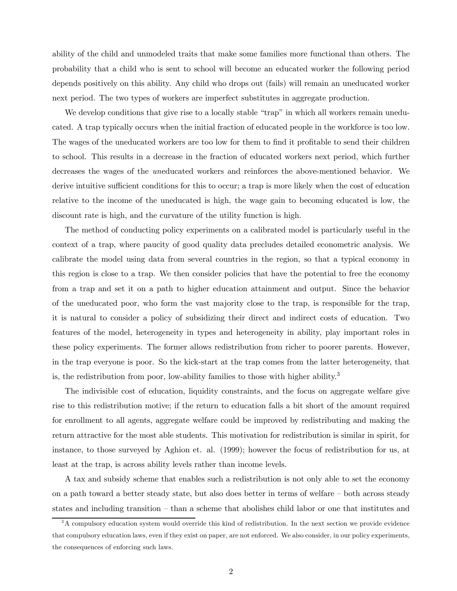ability of the child and unmodeled traits that make some families more functional than others. The probability that a child who is sent to school will become an educated worker the following period depends positively on this ability. Any child who drops out (fails) will remain an uneducated worker next period. The two types of workers are imperfect substitutes in aggregate production.

We develop conditions that give rise to a locally stable "trap" in which all workers remain uneducated. A trap typically occurs when the initial fraction of educated people in the workforce is too low. The wages of the uneducated workers are too low for them to find it profitable to send their children to school. This results in a decrease in the fraction of educated workers next period, which further decreases the wages of the uneducated workers and reinforces the above-mentioned behavior. We derive intuitive sufficient conditions for this to occur; a trap is more likely when the cost of education relative to the income of the uneducated is high, the wage gain to becoming educated is low, the discount rate is high, and the curvature of the utility function is high.

The method of conducting policy experiments on a calibrated model is particularly useful in the context of a trap, where paucity of good quality data precludes detailed econometric analysis. We calibrate the model using data from several countries in the region, so that a typical economy in this region is close to a trap. We then consider policies that have the potential to free the economy from a trap and set it on a path to higher education attainment and output. Since the behavior of the uneducated poor, who form the vast majority close to the trap, is responsible for the trap, it is natural to consider a policy of subsidizing their direct and indirect costs of education. Two features of the model, heterogeneity in types and heterogeneity in ability, play important roles in these policy experiments. The former allows redistribution from richer to poorer parents. However, in the trap everyone is poor. So the kick-start at the trap comes from the latter heterogeneity, that is, the redistribution from poor, low-ability families to those with higher ability.<sup>3</sup>

The indivisible cost of education, liquidity constraints, and the focus on aggregate welfare give rise to this redistribution motive; if the return to education falls a bit short of the amount required for enrollment to all agents, aggregate welfare could be improved by redistributing and making the return attractive for the most able students. This motivation for redistribution is similar in spirit, for instance, to those surveyed by Aghion et. al. (1999); however the focus of redistribution for us, at least at the trap, is across ability levels rather than income levels.

A tax and subsidy scheme that enables such a redistribution is not only able to set the economy on a path toward a better steady state, but also does better in terms of welfare — both across steady states and including transition — than a scheme that abolishes child labor or one that institutes and

 $3A$  compulsory education system would override this kind of redistribution. In the next section we provide evidence that compulsory education laws, even if they exist on paper, are not enforced. We also consider, in our policy experiments, the consequences of enforcing such laws.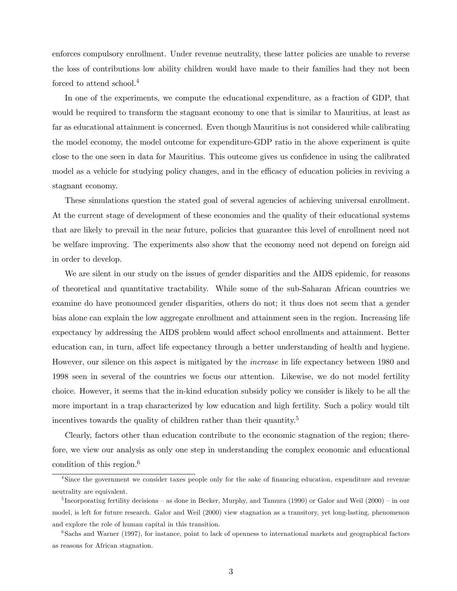enforces compulsory enrollment. Under revenue neutrality, these latter policies are unable to reverse the loss of contributions low ability children would have made to their families had they not been forced to attend school.<sup>4</sup>

In one of the experiments, we compute the educational expenditure, as a fraction of GDP, that would be required to transform the stagnant economy to one that is similar to Mauritius, at least as far as educational attainment is concerned. Even though Mauritius is not considered while calibrating the model economy, the model outcome for expenditure-GDP ratio in the above experiment is quite close to the one seen in data for Mauritius. This outcome gives us confidence in using the calibrated model as a vehicle for studying policy changes, and in the efficacy of education policies in reviving a stagnant economy.

These simulations question the stated goal of several agencies of achieving universal enrollment. At the current stage of development of these economies and the quality of their educational systems that are likely to prevail in the near future, policies that guarantee this level of enrollment need not be welfare improving. The experiments also show that the economy need not depend on foreign aid in order to develop.

We are silent in our study on the issues of gender disparities and the AIDS epidemic, for reasons of theoretical and quantitative tractability. While some of the sub-Saharan African countries we examine do have pronounced gender disparities, others do not; it thus does not seem that a gender bias alone can explain the low aggregate enrollment and attainment seen in the region. Increasing life expectancy by addressing the AIDS problem would affect school enrollments and attainment. Better education can, in turn, affect life expectancy through a better understanding of health and hygiene. However, our silence on this aspect is mitigated by the increase in life expectancy between 1980 and 1998 seen in several of the countries we focus our attention. Likewise, we do not model fertility choice. However, it seems that the in-kind education subsidy policy we consider is likely to be all the more important in a trap characterized by low education and high fertility. Such a policy would tilt incentives towards the quality of children rather than their quantity.<sup>5</sup>

Clearly, factors other than education contribute to the economic stagnation of the region; therefore, we view our analysis as only one step in understanding the complex economic and educational condition of this region. $6$ 

<sup>&</sup>lt;sup>4</sup>Since the government we consider taxes people only for the sake of financing education, expenditure and revenue neutrality are equivalent.

 $^5$ Incorporating fertility decisions – as done in Becker, Murphy, and Tamura (1990) or Galor and Weil (2000) – in our model, is left for future research. Galor and Weil (2000) view stagnation as a transitory, yet long-lasting, phenomenon and explore the role of human capital in this transition.

<sup>&</sup>lt;sup>6</sup>Sachs and Warner (1997), for instance, point to lack of openness to international markets and geographical factors as reasons for African stagnation.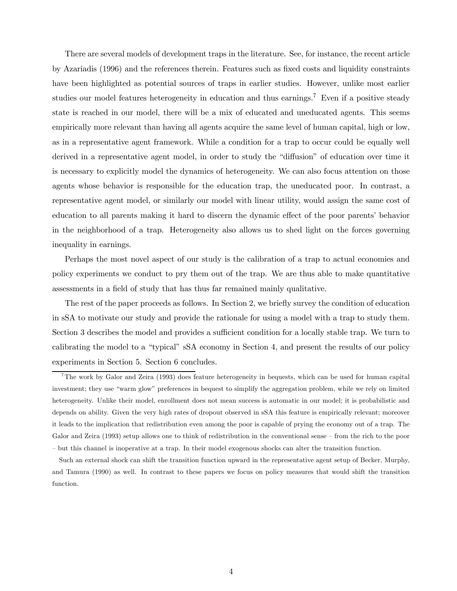There are several models of development traps in the literature. See, for instance, the recent article by Azariadis (1996) and the references therein. Features such as fixed costs and liquidity constraints have been highlighted as potential sources of traps in earlier studies. However, unlike most earlier studies our model features heterogeneity in education and thus earnings.<sup>7</sup> Even if a positive steady state is reached in our model, there will be a mix of educated and uneducated agents. This seems empirically more relevant than having all agents acquire the same level of human capital, high or low, as in a representative agent framework. While a condition for a trap to occur could be equally well derived in a representative agent model, in order to study the "diffusion" of education over time it is necessary to explicitly model the dynamics of heterogeneity. We can also focus attention on those agents whose behavior is responsible for the education trap, the uneducated poor. In contrast, a representative agent model, or similarly our model with linear utility, would assign the same cost of education to all parents making it hard to discern the dynamic effect of the poor parents' behavior in the neighborhood of a trap. Heterogeneity also allows us to shed light on the forces governing inequality in earnings.

Perhaps the most novel aspect of our study is the calibration of a trap to actual economies and policy experiments we conduct to pry them out of the trap. We are thus able to make quantitative assessments in a field of study that has thus far remained mainly qualitative.

The rest of the paper proceeds as follows. In Section 2, we briefly survey the condition of education in sSA to motivate our study and provide the rationale for using a model with a trap to study them. Section 3 describes the model and provides a sufficient condition for a locally stable trap. We turn to calibrating the model to a "typical" sSA economy in Section 4, and present the results of our policy experiments in Section 5. Section 6 concludes.

<sup>7</sup>The work by Galor and Zeira (1993) does feature heterogeneity in bequests, which can be used for human capital investment; they use "warm glow" preferences in bequest to simplify the aggregation problem, while we rely on limited heterogeneity. Unlike their model, enrollment does not mean success is automatic in our model; it is probabilistic and depends on ability. Given the very high rates of dropout observed in sSA this feature is empirically relevant; moreover it leads to the implication that redistribution even among the poor is capable of prying the economy out of a trap. The Galor and Zeira (1993) setup allows one to think of redistribution in the conventional sense — from the rich to the poor — but this channel is inoperative at a trap. In their model exogenous shocks can alter the transition function.

Such an external shock can shift the transition function upward in the representative agent setup of Becker, Murphy, and Tamura (1990) as well. In contrast to these papers we focus on policy measures that would shift the transition function.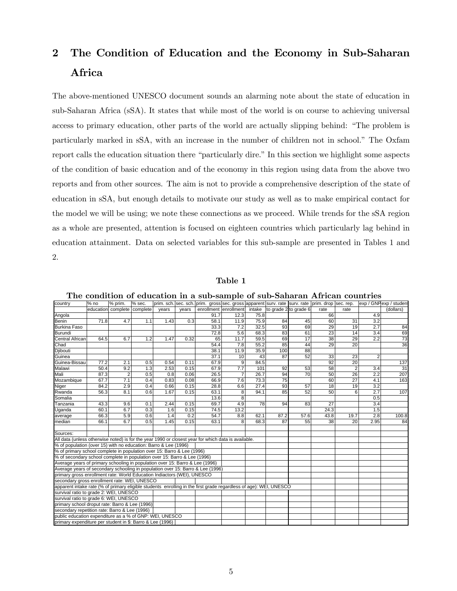## 2 The Condition of Education and the Economy in Sub-Saharan Africa

The above-mentioned UNESCO document sounds an alarming note about the state of education in sub-Saharan Africa (sSA). It states that while most of the world is on course to achieving universal access to primary education, other parts of the world are actually slipping behind: "The problem is particularly marked in sSA, with an increase in the number of children not in school." The Oxfam report calls the education situation there "particularly dire." In this section we highlight some aspects of the condition of basic education and of the economy in this region using data from the above two reports and from other sources. The aim is not to provide a comprehensive description of the state of education in sSA, but enough details to motivate our study as well as to make empirical contact for the model we will be using; we note these connections as we proceed. While trends for the sSA region as a whole are presented, attention is focused on eighteen countries which particularly lag behind in education attainment. Data on selected variables for this sub-sample are presented in Tables 1 and 2.

#### Table 1

| prim. sch. sec. sch. prim. gross sec. gross apparent surv. rate surv. rate prim. drop sec. rep.                   |        |                    |          |       |       |                       |                |      |      |                              |                 |                 |                |                        |
|-------------------------------------------------------------------------------------------------------------------|--------|--------------------|----------|-------|-------|-----------------------|----------------|------|------|------------------------------|-----------------|-----------------|----------------|------------------------|
| country                                                                                                           | $%$ no | % prim.            | % sec.   |       |       |                       |                |      |      |                              |                 |                 |                | exp / GNPexp / student |
|                                                                                                                   |        | education complete | complete | years | years | enrollment enrollment |                |      |      | intake to grade 2 to grade 6 | rate            | rate            |                | (dollars)              |
| Angola                                                                                                            |        |                    |          |       |       | 91.7                  | 12.3           | 75.8 |      |                              | 66              |                 | 4.9            |                        |
| <b>Benin</b>                                                                                                      | 71.8   | 4.7                | 1.1      | 1.43  | 0.3   | 58.1                  | 11.9           | 75.9 | 84   | 45                           | 60              | 31              | 3.2            |                        |
| <b>Burkina Faso</b>                                                                                               |        |                    |          |       |       | 33.3                  | 7.2            | 32.5 | 93   | 69                           | 29              | 19              | 2.7            | 84                     |
| Burundi                                                                                                           |        |                    |          |       |       | 72.8                  | 5.6            | 68.3 | 83   | 61                           | 23              | 14              | 3.4            | 69                     |
| <b>Central African</b>                                                                                            | 64.5   | 6.7                | 1.2      | 1.47  | 0.32  | 65                    | 11.7           | 59.5 | 69   | 17                           | 38              | 29              | 2.2            | $\overline{73}$        |
| Chad                                                                                                              |        |                    |          |       |       | 54.4                  | 7.8            | 55.2 | 85   | 44                           | 29              | 20              |                | $\overline{36}$        |
| Djibouti                                                                                                          |        |                    |          |       |       | 38.1                  | 11.9           | 35.9 | 100  | 88                           |                 |                 |                |                        |
| Guinea                                                                                                            |        |                    |          |       |       | 37.1                  | 10             | 43   | 87   | 52                           | 33              | 23              | $\overline{2}$ |                        |
| Guinea-Bissau                                                                                                     | 77.2   | 2.1                | 0.5      | 0.54  | 0.11  | 67.9                  | 9              | 84.5 |      |                              | 92              | 20              |                | 137                    |
| Malawi                                                                                                            | 50.4   | 9.2                | 1.3      | 2.53  | 0.15  | 67.9                  | 7.7            | 101  | 92   | 53                           | $\overline{58}$ | $\overline{2}$  | 3.4            | 31                     |
| Mali                                                                                                              | 87.3   | $\overline{2}$     | 0.5      | 0.8   | 0.06  | 26.5                  | $\overline{7}$ | 26.7 | 94   | $\overline{70}$              | 50              | 26              | 2.2            | 207                    |
| Mozambique                                                                                                        | 67.7   | 7.1                | 0.4      | 0.83  | 0.08  | 66.9                  | 7.6            | 73.3 | 75   |                              | 60              | $\overline{27}$ | 4.1            | 163                    |
| Niger                                                                                                             | 84.2   | 2.9                | 0.4      | 0.66  | 0.15  | 28.8                  | 6.6            | 27.4 | 93   | 57                           | 18              | 19              | 3.2            |                        |
| Rwanda                                                                                                            | 56.3   | 8.1                | 0.6      | 1.67  | 0.15  | 63.1                  | 8              | 94.1 | 85   | 52                           | 50              | 6               | 2.7            | 107                    |
| Somalia                                                                                                           |        |                    |          |       |       | 13.6                  | 8              |      |      |                              |                 |                 | 0.5            |                        |
| Tanzania                                                                                                          | 43.3   | 9.6                | 0.1      | 2.44  | 0.15  | 69.7                  | 4.9            | 78   | 94   | 83                           | 27              |                 | 3.4            |                        |
| Uganda                                                                                                            | 60.1   | 6.7                | 0.3      | 1.6   | 0.15  | 74.5                  | 13.2           |      |      |                              | 24.3            |                 | 1.5            |                        |
| average                                                                                                           | 66.3   | 5.9                | 0.6      | 1.4   | 0.2   | 54.7                  | 8.8            | 62.1 | 87.2 | 57.6                         | 43.8            | 19.7            | 2.8            | 100.8                  |
| median                                                                                                            | 66.1   | 6.7                | 0.5      | 1.45  | 0.15  | 63.1                  | 8              | 68.3 | 87   | 55                           | 38              | 20              | 2.95           | 84                     |
|                                                                                                                   |        |                    |          |       |       |                       |                |      |      |                              |                 |                 |                |                        |
| Sources:                                                                                                          |        |                    |          |       |       |                       |                |      |      |                              |                 |                 |                |                        |
| All data (unless otherwise noted) is for the year 1990 or closest year for which data is available.               |        |                    |          |       |       |                       |                |      |      |                              |                 |                 |                |                        |
| % of population (over 15) with no education: Barro & Lee (1996)                                                   |        |                    |          |       |       |                       |                |      |      |                              |                 |                 |                |                        |
| % of primary school complete in population over 15: Barro & Lee (1996)                                            |        |                    |          |       |       |                       |                |      |      |                              |                 |                 |                |                        |
| % of secondary school complete in population over 15: Barro & Lee (1996)                                          |        |                    |          |       |       |                       |                |      |      |                              |                 |                 |                |                        |
| Average years of primary schooling in population over 15: Barro & Lee (1996)                                      |        |                    |          |       |       |                       |                |      |      |                              |                 |                 |                |                        |
| Average years of secondary schooling in population over 15: Barro & Lee (1996)                                    |        |                    |          |       |       |                       |                |      |      |                              |                 |                 |                |                        |
| primary gross enrollment rate: World Education Indiactors (WEI), UNESCO                                           |        |                    |          |       |       |                       |                |      |      |                              |                 |                 |                |                        |
| secondary gross enrollment rate: WEI, UNESCO                                                                      |        |                    |          |       |       |                       |                |      |      |                              |                 |                 |                |                        |
| apparent intake rate (% of primary eligible students enrolling in the first grade regardless of age): WEI, UNESCO |        |                    |          |       |       |                       |                |      |      |                              |                 |                 |                |                        |
| survival ratio to grade 2: WEI, UNESCO                                                                            |        |                    |          |       |       |                       |                |      |      |                              |                 |                 |                |                        |
| survival ratio to grade 6: WEI, UNESCO                                                                            |        |                    |          |       |       |                       |                |      |      |                              |                 |                 |                |                        |
| primary school droput rate: Barro & Lee (1996)                                                                    |        |                    |          |       |       |                       |                |      |      |                              |                 |                 |                |                        |
| secondary repetition rate: Barro & Lee (1996)                                                                     |        |                    |          |       |       |                       |                |      |      |                              |                 |                 |                |                        |
| public education expenditure as a % of GNP: WEI, UNESCO                                                           |        |                    |          |       |       |                       |                |      |      |                              |                 |                 |                |                        |
| primary expenditure per student in \$: Barro & Lee (1996)                                                         |        |                    |          |       |       |                       |                |      |      |                              |                 |                 |                |                        |

The condition of education in a sub-sample of sub-Saharan African countries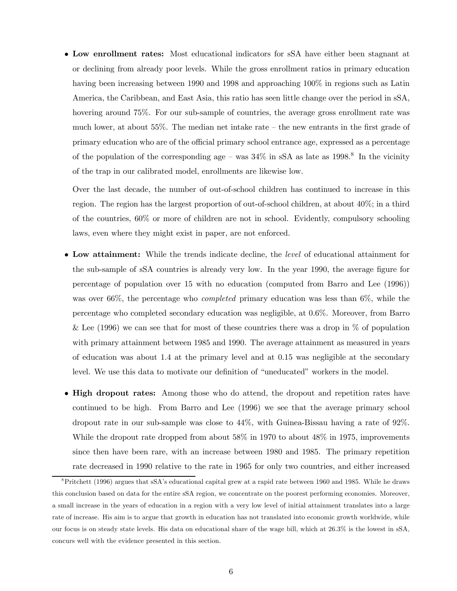• Low enrollment rates: Most educational indicators for sSA have either been stagnant at or declining from already poor levels. While the gross enrollment ratios in primary education having been increasing between 1990 and 1998 and approaching 100% in regions such as Latin America, the Caribbean, and East Asia, this ratio has seen little change over the period in sSA, hovering around 75%. For our sub-sample of countries, the average gross enrollment rate was much lower, at about  $55\%$ . The median net intake rate – the new entrants in the first grade of primary education who are of the official primary school entrance age, expressed as a percentage of the population of the corresponding age – was  $34\%$  in sSA as late as  $1998.<sup>8</sup>$  In the vicinity of the trap in our calibrated model, enrollments are likewise low.

Over the last decade, the number of out-of-school children has continued to increase in this region. The region has the largest proportion of out-of-school children, at about 40%; in a third of the countries, 60% or more of children are not in school. Evidently, compulsory schooling laws, even where they might exist in paper, are not enforced.

- Low attainment: While the trends indicate decline, the level of educational attainment for the sub-sample of sSA countries is already very low. In the year 1990, the average figure for percentage of population over 15 with no education (computed from Barro and Lee (1996)) was over 66%, the percentage who *completed* primary education was less than 6%, while the percentage who completed secondary education was negligible, at 0.6%. Moreover, from Barro & Lee (1996) we can see that for most of these countries there was a drop in  $\%$  of population with primary attainment between 1985 and 1990. The average attainment as measured in years of education was about 1.4 at the primary level and at 0.15 was negligible at the secondary level. We use this data to motivate our definition of "uneducated" workers in the model.
- High dropout rates: Among those who do attend, the dropout and repetition rates have continued to be high. From Barro and Lee (1996) we see that the average primary school dropout rate in our sub-sample was close to 44%, with Guinea-Bissau having a rate of 92%. While the dropout rate dropped from about 58% in 1970 to about 48% in 1975, improvements since then have been rare, with an increase between 1980 and 1985. The primary repetition rate decreased in 1990 relative to the rate in 1965 for only two countries, and either increased

<sup>8</sup>Pritchett (1996) argues that sSA's educational capital grew at a rapid rate between 1960 and 1985. While he draws this conclusion based on data for the entire sSA region, we concentrate on the poorest performing economies. Moreover, a small increase in the years of education in a region with a very low level of initial attainment translates into a large rate of increase. His aim is to argue that growth in education has not translated into economic growth worldwide, while our focus is on steady state levels. His data on educational share of the wage bill, which at 26.3% is the lowest in sSA, concurs well with the evidence presented in this section.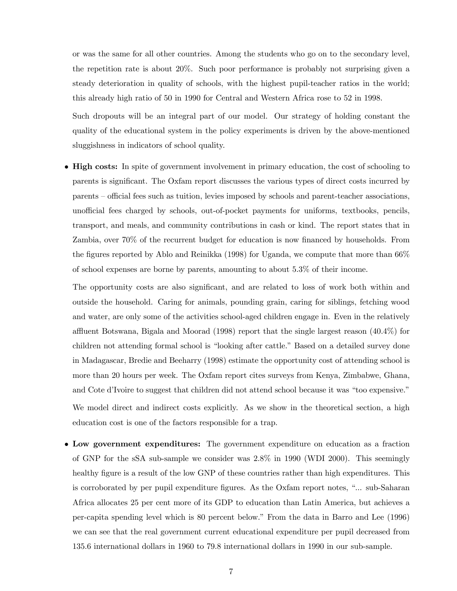or was the same for all other countries. Among the students who go on to the secondary level, the repetition rate is about 20%. Such poor performance is probably not surprising given a steady deterioration in quality of schools, with the highest pupil-teacher ratios in the world; this already high ratio of 50 in 1990 for Central and Western Africa rose to 52 in 1998.

Such dropouts will be an integral part of our model. Our strategy of holding constant the quality of the educational system in the policy experiments is driven by the above-mentioned sluggishness in indicators of school quality.

• High costs: In spite of government involvement in primary education, the cost of schooling to parents is significant. The Oxfam report discusses the various types of direct costs incurred by parents — official fees such as tuition, levies imposed by schools and parent-teacher associations, unofficial fees charged by schools, out-of-pocket payments for uniforms, textbooks, pencils, transport, and meals, and community contributions in cash or kind. The report states that in Zambia, over 70% of the recurrent budget for education is now financed by households. From the figures reported by Ablo and Reinikka (1998) for Uganda, we compute that more than 66% of school expenses are borne by parents, amounting to about 5.3% of their income.

The opportunity costs are also significant, and are related to loss of work both within and outside the household. Caring for animals, pounding grain, caring for siblings, fetching wood and water, are only some of the activities school-aged children engage in. Even in the relatively affluent Botswana, Bigala and Moorad (1998) report that the single largest reason (40.4%) for children not attending formal school is "looking after cattle." Based on a detailed survey done in Madagascar, Bredie and Beeharry (1998) estimate the opportunity cost of attending school is more than 20 hours per week. The Oxfam report cites surveys from Kenya, Zimbabwe, Ghana, and Cote d'Ivoire to suggest that children did not attend school because it was "too expensive." We model direct and indirect costs explicitly. As we show in the theoretical section, a high education cost is one of the factors responsible for a trap.

• Low government expenditures: The government expenditure on education as a fraction of GNP for the sSA sub-sample we consider was 2.8% in 1990 (WDI 2000). This seemingly healthy figure is a result of the low GNP of these countries rather than high expenditures. This is corroborated by per pupil expenditure figures. As the Oxfam report notes, "... sub-Saharan Africa allocates 25 per cent more of its GDP to education than Latin America, but achieves a per-capita spending level which is 80 percent below." From the data in Barro and Lee (1996) we can see that the real government current educational expenditure per pupil decreased from 135.6 international dollars in 1960 to 79.8 international dollars in 1990 in our sub-sample.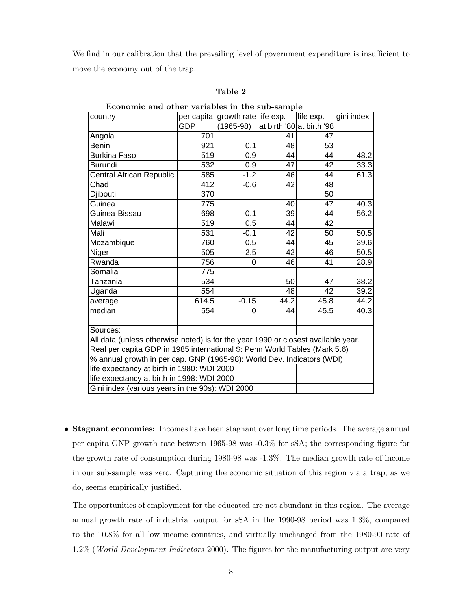We find in our calibration that the prevailing level of government expenditure is insufficient to move the economy out of the trap.

#### Table 2

| country                                                                           |            | per capita growth rate life exp. |      | life exp.                 | gini index |  |  |
|-----------------------------------------------------------------------------------|------------|----------------------------------|------|---------------------------|------------|--|--|
|                                                                                   | <b>GDP</b> | $(1965-98)$                      |      | at birth '80 at birth '98 |            |  |  |
| Angola                                                                            | 701        |                                  | 41   | 47                        |            |  |  |
| <b>Benin</b>                                                                      | 921        | 0.1                              | 48   | 53                        |            |  |  |
| <b>Burkina Faso</b>                                                               | 519        | 0.9                              | 44   | 44                        | 48.2       |  |  |
| <b>Burundi</b>                                                                    | 532        | 0.9                              | 47   | 42                        | 33.3       |  |  |
| Central African Republic                                                          | 585        | $-1.2$                           | 46   | 44                        | 61.3       |  |  |
| Chad                                                                              | 412        | $-0.6$                           | 42   | 48                        |            |  |  |
| Djibouti                                                                          | 370        |                                  |      | 50                        |            |  |  |
| Guinea                                                                            | 775        |                                  | 40   | 47                        | 40.3       |  |  |
| Guinea-Bissau                                                                     | 698        | $-0.1$                           | 39   | 44                        | 56.2       |  |  |
| Malawi                                                                            | 519        | 0.5                              | 44   | 42                        |            |  |  |
| Mali                                                                              | 531        | $-0.1$                           | 42   | 50                        | 50.5       |  |  |
| Mozambique                                                                        | 760        | 0.5                              | 44   | 45                        | 39.6       |  |  |
| Niger                                                                             | 505        | $-2.5$                           | 42   | 46                        | 50.5       |  |  |
| Rwanda                                                                            | 756        | 0                                | 46   | 41                        | 28.9       |  |  |
| Somalia                                                                           | 775        |                                  |      |                           |            |  |  |
| Tanzania                                                                          | 534        |                                  | 50   | 47                        | 38.2       |  |  |
| Uganda                                                                            | 554        |                                  | 48   | 42                        | 39.2       |  |  |
| average                                                                           | 614.5      | $-0.15$                          | 44.2 | 45.8                      | 44.2       |  |  |
| median                                                                            | 554        | 0                                | 44   | 45.5                      | 40.3       |  |  |
|                                                                                   |            |                                  |      |                           |            |  |  |
| Sources:                                                                          |            |                                  |      |                           |            |  |  |
| All data (unless otherwise noted) is for the year 1990 or closest available year. |            |                                  |      |                           |            |  |  |
| Real per capita GDP in 1985 international \$: Penn World Tables (Mark 5.6)        |            |                                  |      |                           |            |  |  |
| % annual growth in per cap. GNP (1965-98): World Dev. Indicators (WDI)            |            |                                  |      |                           |            |  |  |
| life expectancy at birth in 1980: WDI 2000                                        |            |                                  |      |                           |            |  |  |
| life expectancy at birth in 1998: WDI 2000                                        |            |                                  |      |                           |            |  |  |
| Gini index (various years in the 90s): WDI 2000                                   |            |                                  |      |                           |            |  |  |

Economic and other variables in the sub-sample

• Stagnant economies: Incomes have been stagnant over long time periods. The average annual per capita GNP growth rate between 1965-98 was -0.3% for sSA; the corresponding figure for the growth rate of consumption during 1980-98 was -1.3%. The median growth rate of income in our sub-sample was zero. Capturing the economic situation of this region via a trap, as we do, seems empirically justified.

The opportunities of employment for the educated are not abundant in this region. The average annual growth rate of industrial output for sSA in the 1990-98 period was 1.3%, compared to the 10.8% for all low income countries, and virtually unchanged from the 1980-90 rate of 1.2% (World Development Indicators 2000). The figures for the manufacturing output are very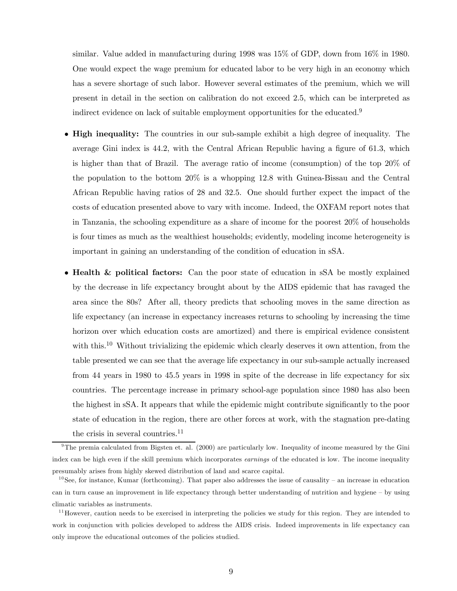similar. Value added in manufacturing during 1998 was 15% of GDP, down from 16% in 1980. One would expect the wage premium for educated labor to be very high in an economy which has a severe shortage of such labor. However several estimates of the premium, which we will present in detail in the section on calibration do not exceed 2.5, which can be interpreted as indirect evidence on lack of suitable employment opportunities for the educated.<sup>9</sup>

- High inequality: The countries in our sub-sample exhibit a high degree of inequality. The average Gini index is 44.2, with the Central African Republic having a figure of 61.3, which is higher than that of Brazil. The average ratio of income (consumption) of the top 20% of the population to the bottom 20% is a whopping 12.8 with Guinea-Bissau and the Central African Republic having ratios of 28 and 32.5. One should further expect the impact of the costs of education presented above to vary with income. Indeed, the OXFAM report notes that in Tanzania, the schooling expenditure as a share of income for the poorest 20% of households is four times as much as the wealthiest households; evidently, modeling income heterogeneity is important in gaining an understanding of the condition of education in sSA.
- Health & political factors: Can the poor state of education in sSA be mostly explained by the decrease in life expectancy brought about by the AIDS epidemic that has ravaged the area since the 80s? After all, theory predicts that schooling moves in the same direction as life expectancy (an increase in expectancy increases returns to schooling by increasing the time horizon over which education costs are amortized) and there is empirical evidence consistent with this.<sup>10</sup> Without trivializing the epidemic which clearly deserves it own attention, from the table presented we can see that the average life expectancy in our sub-sample actually increased from 44 years in 1980 to 45.5 years in 1998 in spite of the decrease in life expectancy for six countries. The percentage increase in primary school-age population since 1980 has also been the highest in sSA. It appears that while the epidemic might contribute significantly to the poor state of education in the region, there are other forces at work, with the stagnation pre-dating the crisis in several countries.<sup>11</sup>

 $9$ The premia calculated from Bigsten et. al. (2000) are particularly low. Inequality of income measured by the Gini index can be high even if the skill premium which incorporates earnings of the educated is low. The income inequality presumably arises from highly skewed distribution of land and scarce capital.

 $10$  See, for instance, Kumar (forthcoming). That paper also addresses the issue of causality – an increase in education can in turn cause an improvement in life expectancy through better understanding of nutrition and hygiene — by using climatic variables as instruments.

 $11$  However, caution needs to be exercised in interpreting the policies we study for this region. They are intended to work in conjunction with policies developed to address the AIDS crisis. Indeed improvements in life expectancy can only improve the educational outcomes of the policies studied.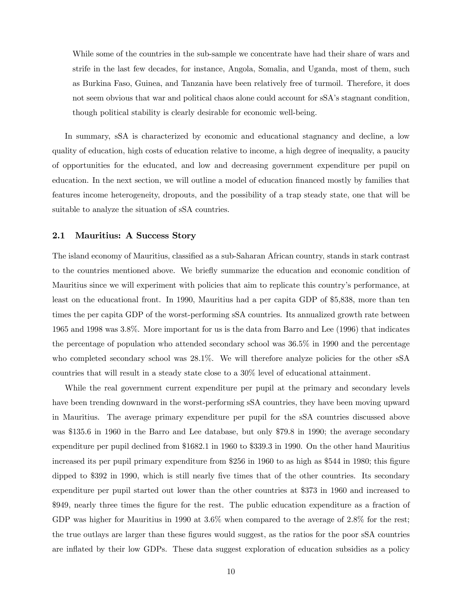While some of the countries in the sub-sample we concentrate have had their share of wars and strife in the last few decades, for instance, Angola, Somalia, and Uganda, most of them, such as Burkina Faso, Guinea, and Tanzania have been relatively free of turmoil. Therefore, it does not seem obvious that war and political chaos alone could account for sSA's stagnant condition, though political stability is clearly desirable for economic well-being.

In summary, sSA is characterized by economic and educational stagnancy and decline, a low quality of education, high costs of education relative to income, a high degree of inequality, a paucity of opportunities for the educated, and low and decreasing government expenditure per pupil on education. In the next section, we will outline a model of education financed mostly by families that features income heterogeneity, dropouts, and the possibility of a trap steady state, one that will be suitable to analyze the situation of sSA countries.

## 2.1 Mauritius: A Success Story

The island economy of Mauritius, classified as a sub-Saharan African country, stands in stark contrast to the countries mentioned above. We briefly summarize the education and economic condition of Mauritius since we will experiment with policies that aim to replicate this country's performance, at least on the educational front. In 1990, Mauritius had a per capita GDP of \$5,838, more than ten times the per capita GDP of the worst-performing sSA countries. Its annualized growth rate between 1965 and 1998 was 3.8%. More important for us is the data from Barro and Lee (1996) that indicates the percentage of population who attended secondary school was 36.5% in 1990 and the percentage who completed secondary school was  $28.1\%$ . We will therefore analyze policies for the other sSA countries that will result in a steady state close to a 30% level of educational attainment.

While the real government current expenditure per pupil at the primary and secondary levels have been trending downward in the worst-performing sSA countries, they have been moving upward in Mauritius. The average primary expenditure per pupil for the sSA countries discussed above was \$135.6 in 1960 in the Barro and Lee database, but only \$79.8 in 1990; the average secondary expenditure per pupil declined from \$1682.1 in 1960 to \$339.3 in 1990. On the other hand Mauritius increased its per pupil primary expenditure from \$256 in 1960 to as high as \$544 in 1980; this figure dipped to \$392 in 1990, which is still nearly five times that of the other countries. Its secondary expenditure per pupil started out lower than the other countries at \$373 in 1960 and increased to \$949, nearly three times the figure for the rest. The public education expenditure as a fraction of GDP was higher for Mauritius in 1990 at 3.6% when compared to the average of 2.8% for the rest; the true outlays are larger than these figures would suggest, as the ratios for the poor sSA countries are inflated by their low GDPs. These data suggest exploration of education subsidies as a policy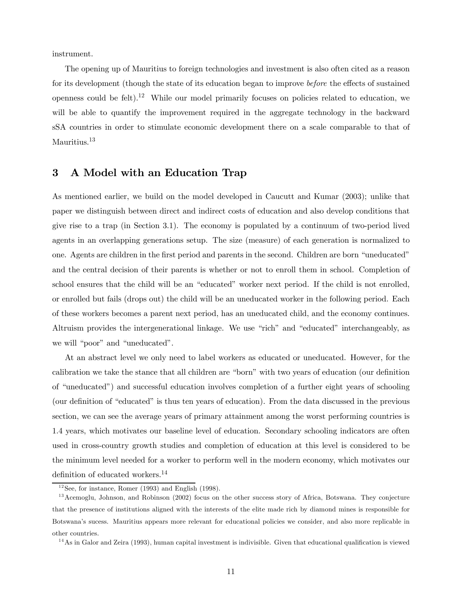instrument.

The opening up of Mauritius to foreign technologies and investment is also often cited as a reason for its development (though the state of its education began to improve before the effects of sustained openness could be felt).<sup>12</sup> While our model primarily focuses on policies related to education, we will be able to quantify the improvement required in the aggregate technology in the backward sSA countries in order to stimulate economic development there on a scale comparable to that of Mauritius.<sup>13</sup>

## 3 A Model with an Education Trap

As mentioned earlier, we build on the model developed in Caucutt and Kumar (2003); unlike that paper we distinguish between direct and indirect costs of education and also develop conditions that give rise to a trap (in Section 3.1). The economy is populated by a continuum of two-period lived agents in an overlapping generations setup. The size (measure) of each generation is normalized to one. Agents are children in the first period and parents in the second. Children are born "uneducated" and the central decision of their parents is whether or not to enroll them in school. Completion of school ensures that the child will be an "educated" worker next period. If the child is not enrolled, or enrolled but fails (drops out) the child will be an uneducated worker in the following period. Each of these workers becomes a parent next period, has an uneducated child, and the economy continues. Altruism provides the intergenerational linkage. We use "rich" and "educated" interchangeably, as we will "poor" and "uneducated".

At an abstract level we only need to label workers as educated or uneducated. However, for the calibration we take the stance that all children are "born" with two years of education (our definition of "uneducated") and successful education involves completion of a further eight years of schooling (our definition of "educated" is thus ten years of education). From the data discussed in the previous section, we can see the average years of primary attainment among the worst performing countries is 1.4 years, which motivates our baseline level of education. Secondary schooling indicators are often used in cross-country growth studies and completion of education at this level is considered to be the minimum level needed for a worker to perform well in the modern economy, which motivates our definition of educated workers.14

 $12$ See, for instance, Romer (1993) and English (1998).

 $13$  Acemoglu, Johnson, and Robinson (2002) focus on the other success story of Africa, Botswana. They conjecture that the presence of institutions aligned with the interests of the elite made rich by diamond mines is responsible for Botswana's sucess. Mauritius appears more relevant for educational policies we consider, and also more replicable in other countries.

 $14$ As in Galor and Zeira (1993), human capital investment is indivisible. Given that educational qualification is viewed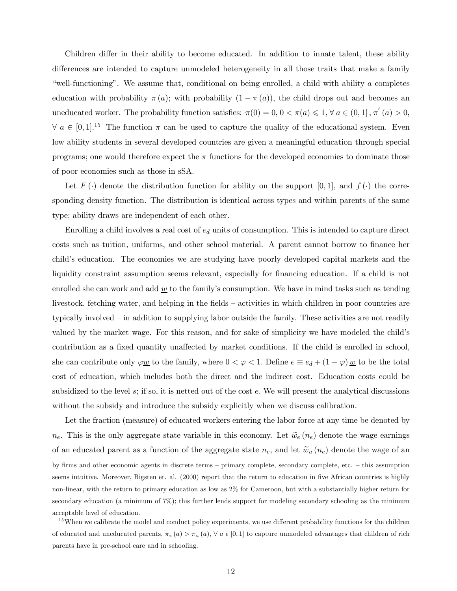Children differ in their ability to become educated. In addition to innate talent, these ability differences are intended to capture unmodeled heterogeneity in all those traits that make a family "well-functioning". We assume that, conditional on being enrolled, a child with ability a completes education with probability  $\pi(a)$ ; with probability  $(1 - \pi(a))$ , the child drops out and becomes an uneducated worker. The probability function satisfies:  $\pi(0) = 0, 0 < \pi(a) \leq 1, \forall a \in (0,1], \pi'(a) > 0,$  $\forall a \in [0,1]$ .<sup>15</sup> The function  $\pi$  can be used to capture the quality of the educational system. Even low ability students in several developed countries are given a meaningful education through special programs; one would therefore expect the  $\pi$  functions for the developed economies to dominate those of poor economies such as those in sSA.

Let  $F(\cdot)$  denote the distribution function for ability on the support [0,1], and  $f(\cdot)$  the corresponding density function. The distribution is identical across types and within parents of the same type; ability draws are independent of each other.

Enrolling a child involves a real cost of  $e_d$  units of consumption. This is intended to capture direct costs such as tuition, uniforms, and other school material. A parent cannot borrow to finance her child's education. The economies we are studying have poorly developed capital markets and the liquidity constraint assumption seems relevant, especially for financing education. If a child is not enrolled she can work and add  $\underline{w}$  to the family's consumption. We have in mind tasks such as tending livestock, fetching water, and helping in the fields — activities in which children in poor countries are typically involved — in addition to supplying labor outside the family. These activities are not readily valued by the market wage. For this reason, and for sake of simplicity we have modeled the child's contribution as a fixed quantity unaffected by market conditions. If the child is enrolled in school, she can contribute only  $\varphi \underline{w}$  to the family, where  $0 < \varphi < 1$ . Define  $e \equiv e_d + (1 - \varphi) \underline{w}$  to be the total cost of education, which includes both the direct and the indirect cost. Education costs could be subsidized to the level s; if so, it is netted out of the cost e. We will present the analytical discussions without the subsidy and introduce the subsidy explicitly when we discuss calibration.

Let the fraction (measure) of educated workers entering the labor force at any time be denoted by  $n_e$ . This is the only aggregate state variable in this economy. Let  $\widetilde{w}_e(n_e)$  denote the wage earnings of an educated parent as a function of the aggregate state  $n_e$ , and let  $\tilde{w}_u(n_e)$  denote the wage of an

by firms and other economic agents in discrete terms — primary complete, secondary complete, etc. — this assumption seems intuitive. Moreover, Bigsten et. al. (2000) report that the return to education in five African countries is highly non-linear, with the return to primary education as low as 2% for Cameroon, but with a substantially higher return for secondary education (a minimum of 7%); this further lends support for modeling secondary schooling as the minimum acceptable level of education.

 $15$  When we calibrate the model and conduct policy experiments, we use different probability functions for the children of educated and uneducated parents,  $\pi_e(a) > \pi_u(a)$ ,  $\forall a \in [0,1]$  to capture unmodeled advantages that children of rich parents have in pre-school care and in schooling.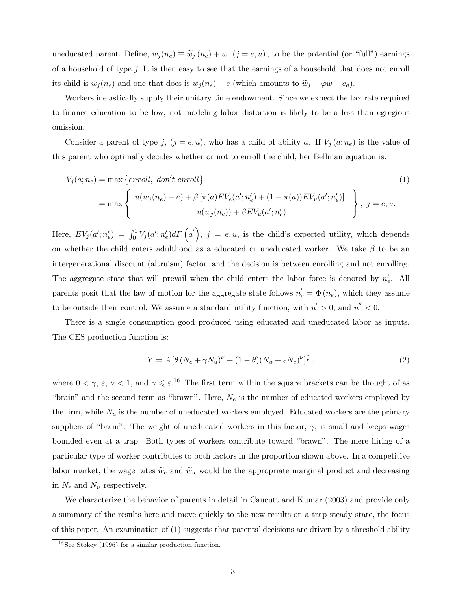uneducated parent. Define,  $w_j(n_e) \equiv \tilde{w}_j(n_e) + \underline{w}$ ,  $(j = e, u)$ , to be the potential (or "full") earnings of a household of type j. It is then easy to see that the earnings of a household that does not enroll its child is  $w_j(n_e)$  and one that does is  $w_j(n_e) - e$  (which amounts to  $\tilde{w}_j + \varphi \underline{w} - e_d$ ).

Workers inelastically supply their unitary time endowment. Since we expect the tax rate required to finance education to be low, not modeling labor distortion is likely to be a less than egregious omission.

Consider a parent of type j,  $(j = e, u)$ , who has a child of ability a. If  $V_j(a; n_e)$  is the value of this parent who optimally decides whether or not to enroll the child, her Bellman equation is:

$$
V_j(a; n_e) = \max \left\{ \text{enroll}, \text{ don't enroll} \right\}
$$
\n
$$
= \max \left\{ \begin{array}{l} u(w_j(n_e) - e) + \beta \left[ \pi(a) E V_e(a'; n_e') + (1 - \pi(a)) E V_u(a'; n_e') \right], \\ u(w_j(n_e)) + \beta E V_u(a'; n_e') \end{array} \right\}, \ j = e, u.
$$
\n
$$
(1)
$$

Here,  $EV_j(a'; n_e') = \int_0^1 V_j(a'; n_e') dF(a')$ ,  $j = e, u$ , is the child's expected utility, which depends on whether the child enters adulthood as a educated or uneducated worker. We take  $\beta$  to be an intergenerational discount (altruism) factor, and the decision is between enrolling and not enrolling. The aggregate state that will prevail when the child enters the labor force is denoted by  $n'_e$ . All parents posit that the law of motion for the aggregate state follows  $n'_e = \Phi(n_e)$ , which they assume to be outside their control. We assume a standard utility function, with  $u' > 0$ , and  $u'' < 0$ .

There is a single consumption good produced using educated and uneducated labor as inputs. The CES production function is:

$$
Y = A \left[ \theta \left( N_e + \gamma N_u \right)^{\nu} + (1 - \theta) (N_u + \varepsilon N_e)^{\nu} \right]^{\frac{1}{\nu}}, \tag{2}
$$

where  $0 < \gamma$ ,  $\varepsilon$ ,  $\nu < 1$ , and  $\gamma \leqslant \varepsilon$ .<sup>16</sup> The first term within the square brackets can be thought of as "brain" and the second term as "brawn". Here,  $N_e$  is the number of educated workers employed by the firm, while  $N_u$  is the number of uneducated workers employed. Educated workers are the primary suppliers of "brain". The weight of uneducated workers in this factor,  $\gamma$ , is small and keeps wages bounded even at a trap. Both types of workers contribute toward "brawn". The mere hiring of a particular type of worker contributes to both factors in the proportion shown above. In a competitive labor market, the wage rates  $\tilde{w}_e$  and  $\tilde{w}_u$  would be the appropriate marginal product and decreasing in  $N_e$  and  $N_u$  respectively.

We characterize the behavior of parents in detail in Caucutt and Kumar (2003) and provide only a summary of the results here and move quickly to the new results on a trap steady state, the focus of this paper. An examination of (1) suggests that parents' decisions are driven by a threshold ability

 $16$ See Stokey (1996) for a similar production function.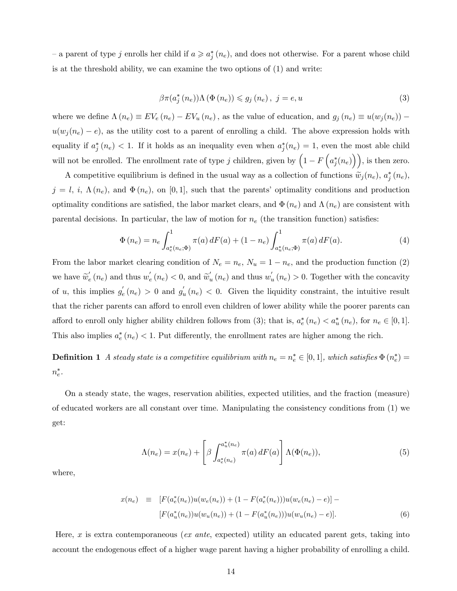– a parent of type j enrolls her child if  $a \geqslant a_j^*(n_e)$ , and does not otherwise. For a parent whose child is at the threshold ability, we can examine the two options of (1) and write:

$$
\beta \pi(a_j^*(n_e)) \Lambda(\Phi(n_e)) \leq g_j(n_e), \ j = e, u \tag{3}
$$

where we define  $\Lambda(n_e) \equiv EV_e(n_e) - EV_u(n_e)$ , as the value of education, and  $g_j(n_e) \equiv u(w_j(n_e))$  $u(w_i(n_e) - e)$ , as the utility cost to a parent of enrolling a child. The above expression holds with equality if  $a_j^*(n_e) < 1$ . If it holds as an inequality even when  $a_j^*(n_e) = 1$ , even the most able child will not be enrolled. The enrollment rate of type j children, given by  $\left(1 - F\left(a_j^*(n_e)\right)\right)$ , is then zero.

A competitive equilibrium is defined in the usual way as a collection of functions  $\tilde{w}_j(n_e)$ ,  $a_j^*(n_e)$ ,  $j = l, i, \Lambda(n_e)$ , and  $\Phi(n_e)$ , on [0,1], such that the parents' optimality conditions and production optimality conditions are satisfied, the labor market clears, and  $\Phi(n_e)$  and  $\Lambda(n_e)$  are consistent with parental decisions. In particular, the law of motion for  $n_e$  (the transition function) satisfies:

$$
\Phi(n_e) = n_e \int_{a_e^*(n_e; \Phi)}^1 \pi(a) dF(a) + (1 - n_e) \int_{a_u^*(n_e; \Phi)}^1 \pi(a) dF(a).
$$
\n(4)

From the labor market clearing condition of  $N_e = n_e$ ,  $N_u = 1 - n_e$ , and the production function (2) we have  $\widetilde{w}_e'(n_e)$  and thus  $w'_e(n_e) < 0$ , and  $\widetilde{w}'_u(n_e)$  and thus  $w'_u(n_e) > 0$ . Together with the concavity of u, this implies  $g'_e(n_e) > 0$  and  $g'_u(n_e) < 0$ . Given the liquidity constraint, the intuitive result that the richer parents can afford to enroll even children of lower ability while the poorer parents can afford to enroll only higher ability children follows from (3); that is,  $a_e^*(n_e) < a_u^*(n_e)$ , for  $n_e \in [0,1]$ . This also implies  $a_e^*(n_e) < 1$ . Put differently, the enrollment rates are higher among the rich.

**Definition 1** A steady state is a competitive equilibrium with  $n_e = n_e^* \in [0,1]$ , which satisfies  $\Phi(n_e^*) =$  $n_e^*$ .

On a steady state, the wages, reservation abilities, expected utilities, and the fraction (measure) of educated workers are all constant over time. Manipulating the consistency conditions from (1) we get:

$$
\Lambda(n_e) = x(n_e) + \left[\beta \int_{a_e^*(n_e)}^{a_u^*(n_e)} \pi(a) dF(a)\right] \Lambda(\Phi(n_e)),\tag{5}
$$

where,

$$
x(n_e) \equiv [F(a_e^*(n_e))u(w_e(n_e)) + (1 - F(a_e^*(n_e)))u(w_e(n_e) - e)] - [F(a_u^*(n_e))u(w_u(n_e)) + (1 - F(a_u^*(n_e)))u(w_u(n_e) - e)]. \tag{6}
$$

Here, x is extra contemporaneous (ex ante, expected) utility an educated parent gets, taking into account the endogenous effect of a higher wage parent having a higher probability of enrolling a child.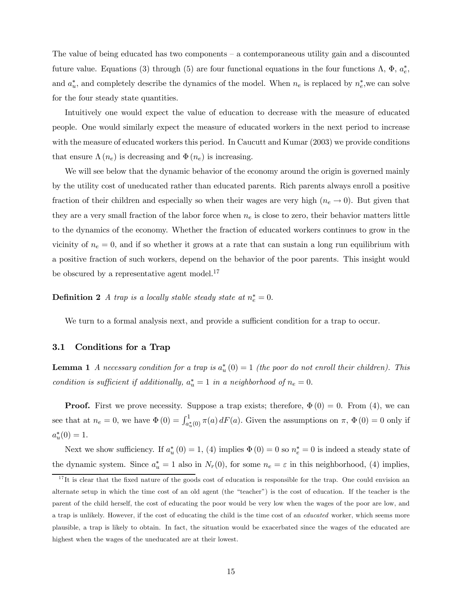The value of being educated has two components — a contemporaneous utility gain and a discounted future value. Equations (3) through (5) are four functional equations in the four functions  $\Lambda$ ,  $\Phi$ ,  $a_e^*$ , and  $a_u^*$ , and completely describe the dynamics of the model. When  $n_e$  is replaced by  $n_e^*$ , we can solve for the four steady state quantities.

Intuitively one would expect the value of education to decrease with the measure of educated people. One would similarly expect the measure of educated workers in the next period to increase with the measure of educated workers this period. In Caucutt and Kumar  $(2003)$  we provide conditions that ensure  $\Lambda(n_e)$  is decreasing and  $\Phi(n_e)$  is increasing.

We will see below that the dynamic behavior of the economy around the origin is governed mainly by the utility cost of uneducated rather than educated parents. Rich parents always enroll a positive fraction of their children and especially so when their wages are very high  $(n_e \rightarrow 0)$ . But given that they are a very small fraction of the labor force when  $n_e$  is close to zero, their behavior matters little to the dynamics of the economy. Whether the fraction of educated workers continues to grow in the vicinity of  $n_e = 0$ , and if so whether it grows at a rate that can sustain a long run equilibrium with a positive fraction of such workers, depend on the behavior of the poor parents. This insight would be obscured by a representative agent model. $^{17}$ 

**Definition 2** A trap is a locally stable steady state at  $n_e^* = 0$ .

We turn to a formal analysis next, and provide a sufficient condition for a trap to occur.

### 3.1 Conditions for a Trap

**Lemma 1** A necessary condition for a trap is  $a_u^*(0) = 1$  (the poor do not enroll their children). This condition is sufficient if additionally,  $a_u^* = 1$  in a neighborhood of  $n_e = 0$ .

**Proof.** First we prove necessity. Suppose a trap exists; therefore,  $\Phi(0) = 0$ . From (4), we can see that at  $n_e = 0$ , we have  $\Phi(0) = \int_{a_u^*(0)}^1 \pi(a) dF(a)$ . Given the assumptions on  $\pi$ ,  $\Phi(0) = 0$  only if  $a_u^*(0) = 1.$ 

Next we show sufficiency. If  $a_u^*(0) = 1$ , (4) implies  $\Phi(0) = 0$  so  $n_e^* = 0$  is indeed a steady state of the dynamic system. Since  $a_u^* = 1$  also in  $N_r(0)$ , for some  $n_e = \varepsilon$  in this neighborhood, (4) implies,

 $17$ It is clear that the fixed nature of the goods cost of education is responsible for the trap. One could envision an alternate setup in which the time cost of an old agent (the "teacher") is the cost of education. If the teacher is the parent of the child herself, the cost of educating the poor would be very low when the wages of the poor are low, and a trap is unlikely. However, if the cost of educating the child is the time cost of an educated worker, which seems more plausible, a trap is likely to obtain. In fact, the situation would be exacerbated since the wages of the educated are highest when the wages of the uneducated are at their lowest.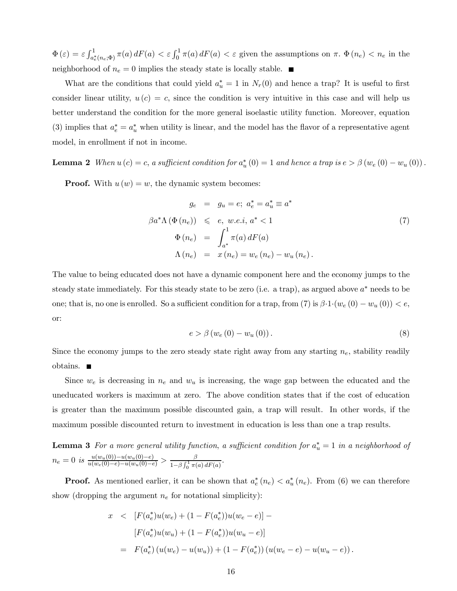$\Phi(\varepsilon) = \varepsilon \int_{a_e^*(n_e;\Phi)}^1 \pi(a) dF(a) < \varepsilon \int_0^1 \pi(a) dF(a) < \varepsilon$  given the assumptions on  $\pi$ .  $\Phi(n_e) < n_e$  in the neighborhood of  $n_e = 0$  implies the steady state is locally stable.  $\blacksquare$ 

What are the conditions that could yield  $a^*_{u} = 1$  in  $N_r(0)$  and hence a trap? It is useful to first consider linear utility,  $u(c) = c$ , since the condition is very intuitive in this case and will help us better understand the condition for the more general isoelastic utility function. Moreover, equation (3) implies that  $a_e^* = a_u^*$  when utility is linear, and the model has the flavor of a representative agent model, in enrollment if not in income.

**Lemma 2** When  $u(c) = c$ , a sufficient condition for  $a_u^*(0) = 1$  and hence a trap is  $e > \beta(w_e(0) - w_u(0))$ .

**Proof.** With  $u(w) = w$ , the dynamic system becomes:

$$
g_e = g_u = e; a_e^* = a_u^* \equiv a^*
$$
  
\n
$$
\beta a^* \Lambda (\Phi(n_e)) \leq e, w.e.i, a^* < 1
$$
  
\n
$$
\Phi(n_e) = \int_{a^*}^1 \pi(a) dF(a)
$$
  
\n
$$
\Lambda(n_e) = x(n_e) = w_e(n_e) - w_u(n_e).
$$
\n(7)

The value to being educated does not have a dynamic component here and the economy jumps to the steady state immediately. For this steady state to be zero (i.e. a trap), as argued above  $a^*$  needs to be one; that is, no one is enrolled. So a sufficient condition for a trap, from (7) is  $\beta \cdot 1 \cdot (w_e(0) - w_u(0)) < e$ , or:

$$
e > \beta \left( w_e \left( 0 \right) - w_u \left( 0 \right) \right). \tag{8}
$$

Since the economy jumps to the zero steady state right away from any starting  $n_e$ , stability readily obtains.

Since  $w_e$  is decreasing in  $n_e$  and  $w_u$  is increasing, the wage gap between the educated and the uneducated workers is maximum at zero. The above condition states that if the cost of education is greater than the maximum possible discounted gain, a trap will result. In other words, if the maximum possible discounted return to investment in education is less than one a trap results.

**Lemma 3** For a more general utility function, a sufficient condition for  $a_u^* = 1$  in a neighborhood of  $n_e = 0$  is  $\frac{u(w_u(0)) - u(w_u(0) - e)}{u(w_e(0) - e) - u(w_u(0) - e)} > \frac{\beta}{1 - \beta \int_0^1 \pi(a) dF(a)}$ .

**Proof.** As mentioned earlier, it can be shown that  $a_e^*(n_e) < a_u^*(n_e)$ . From (6) we can therefore show (dropping the argument  $n_e$  for notational simplicity):

$$
x \leq [F(a_e^*)u(w_e) + (1 - F(a_e^*))u(w_e - e)] -
$$
  
\n
$$
[F(a_e^*)u(w_u) + (1 - F(a_e^*))u(w_u - e)]
$$
  
\n
$$
= F(a_e^*) (u(w_e) - u(w_u)) + (1 - F(a_e^*)) (u(w_e - e) - u(w_u - e)).
$$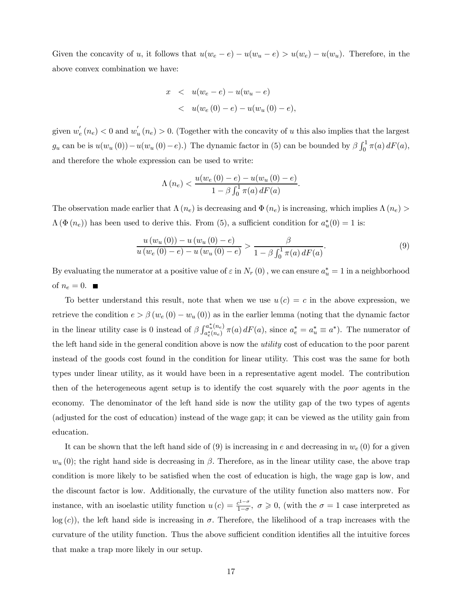Given the concavity of u, it follows that  $u(w_e - e) - u(w_u - e) > u(w_e) - u(w_u)$ . Therefore, in the above convex combination we have:

$$
x < u(w_e - e) - u(w_u - e)
$$
  

$$
< u(w_e(0) - e) - u(w_u(0) - e),
$$

given  $w_e'(n_e) < 0$  and  $w_u'(n_e) > 0$ . (Together with the concavity of u this also implies that the largest  $g_u$  can be is  $u(w_u(0)) - u(w_u(0) - e)$ .) The dynamic factor in (5) can be bounded by  $\beta \int_0^1 \pi(a) dF(a)$ , and therefore the whole expression can be used to write:

$$
\Lambda(n_e) < \frac{u(w_e(0) - e) - u(w_u(0) - e)}{1 - \beta \int_0^1 \pi(a) \, dF(a)}.
$$

The observation made earlier that  $\Lambda(n_e)$  is decreasing and  $\Phi(n_e)$  is increasing, which implies  $\Lambda(n_e)$  $\Lambda(\Phi(n_e))$  has been used to derive this. From (5), a sufficient condition for  $a_u^*(0) = 1$  is:

$$
\frac{u(w_u(0)) - u(w_u(0) - e)}{u(w_e(0) - e) - u(w_u(0) - e)} > \frac{\beta}{1 - \beta \int_0^1 \pi(a) dF(a)}.
$$
\n(9)

By evaluating the numerator at a positive value of  $\varepsilon$  in  $N_r(0)$  , we can ensure  $a_u^* = 1$  in a neighborhood of  $n_e = 0$ .

To better understand this result, note that when we use  $u(c) = c$  in the above expression, we retrieve the condition  $e > \beta (w_e (0) - w_u (0))$  as in the earlier lemma (noting that the dynamic factor in the linear utility case is 0 instead of  $\beta \int_{a^*(n)}^{a^*_u(n_e)}$  $a_e^{u_u(n_e)} \pi(a) dF(a)$ , since  $a_e^* = a_u^* \equiv a^*$ ). The numerator of the left hand side in the general condition above is now the utility cost of education to the poor parent instead of the goods cost found in the condition for linear utility. This cost was the same for both types under linear utility, as it would have been in a representative agent model. The contribution then of the heterogeneous agent setup is to identify the cost squarely with the poor agents in the economy. The denominator of the left hand side is now the utility gap of the two types of agents (adjusted for the cost of education) instead of the wage gap; it can be viewed as the utility gain from education.

It can be shown that the left hand side of  $(9)$  is increasing in e and decreasing in  $w_e(0)$  for a given  $w_u(0)$ ; the right hand side is decreasing in  $\beta$ . Therefore, as in the linear utility case, the above trap condition is more likely to be satisfied when the cost of education is high, the wage gap is low, and the discount factor is low. Additionally, the curvature of the utility function also matters now. For instance, with an isoelastic utility function  $u(c) = \frac{c^{1-\sigma}}{1-\sigma}$ ,  $\sigma \ge 0$ , (with the  $\sigma = 1$  case interpreted as  $log (c)$ , the left hand side is increasing in  $\sigma$ . Therefore, the likelihood of a trap increases with the curvature of the utility function. Thus the above sufficient condition identifies all the intuitive forces that make a trap more likely in our setup.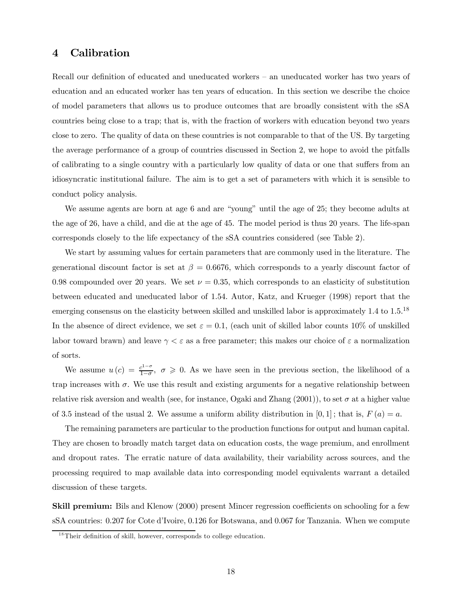## 4 Calibration

Recall our definition of educated and uneducated workers — an uneducated worker has two years of education and an educated worker has ten years of education. In this section we describe the choice of model parameters that allows us to produce outcomes that are broadly consistent with the sSA countries being close to a trap; that is, with the fraction of workers with education beyond two years close to zero. The quality of data on these countries is not comparable to that of the US. By targeting the average performance of a group of countries discussed in Section 2, we hope to avoid the pitfalls of calibrating to a single country with a particularly low quality of data or one that suffers from an idiosyncratic institutional failure. The aim is to get a set of parameters with which it is sensible to conduct policy analysis.

We assume agents are born at age 6 and are "young" until the age of 25; they become adults at the age of 26, have a child, and die at the age of 45. The model period is thus 20 years. The life-span corresponds closely to the life expectancy of the sSA countries considered (see Table 2).

We start by assuming values for certain parameters that are commonly used in the literature. The generational discount factor is set at  $\beta = 0.6676$ , which corresponds to a yearly discount factor of 0.98 compounded over 20 years. We set  $\nu = 0.35$ , which corresponds to an elasticity of substitution between educated and uneducated labor of 1.54. Autor, Katz, and Krueger (1998) report that the emerging consensus on the elasticity between skilled and unskilled labor is approximately  $1.4$  to  $1.5$ .<sup>18</sup> In the absence of direct evidence, we set  $\varepsilon = 0.1$ , (each unit of skilled labor counts 10% of unskilled labor toward brawn) and leave  $\gamma < \varepsilon$  as a free parameter; this makes our choice of  $\varepsilon$  a normalization of sorts.

We assume  $u(c) = \frac{c^{1-\sigma}}{1-\sigma}$ ,  $\sigma \geq 0$ . As we have seen in the previous section, the likelihood of a trap increases with  $\sigma$ . We use this result and existing arguments for a negative relationship between relative risk aversion and wealth (see, for instance, Ogaki and Zhang (2001)), to set  $\sigma$  at a higher value of 3.5 instead of the usual 2. We assume a uniform ability distribution in  $[0, 1]$ ; that is,  $F(a) = a$ .

The remaining parameters are particular to the production functions for output and human capital. They are chosen to broadly match target data on education costs, the wage premium, and enrollment and dropout rates. The erratic nature of data availability, their variability across sources, and the processing required to map available data into corresponding model equivalents warrant a detailed discussion of these targets.

Skill premium: Bils and Klenow (2000) present Mincer regression coefficients on schooling for a few sSA countries: 0.207 for Cote d'Ivoire, 0.126 for Botswana, and 0.067 for Tanzania. When we compute

 $18$ Their definition of skill, however, corresponds to college education.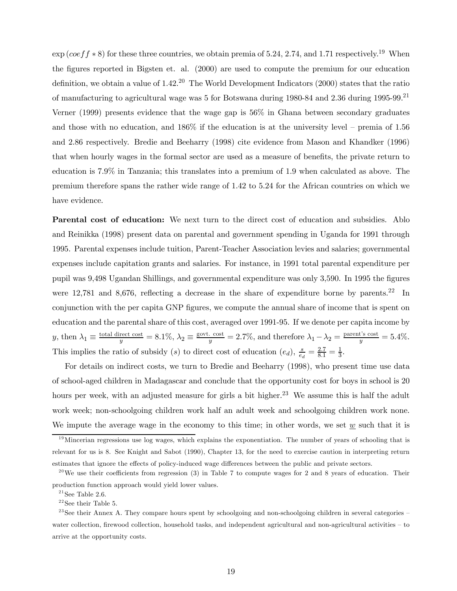$\exp(coeff * 8)$  for these three countries, we obtain premia of 5.24, 2.74, and 1.71 respectively.<sup>19</sup> When the figures reported in Bigsten et. al. (2000) are used to compute the premium for our education definition, we obtain a value of  $1.42<sup>20</sup>$  The World Development Indicators (2000) states that the ratio of manufacturing to agricultural wage was 5 for Botswana during 1980-84 and 2.36 during 1995-99.21 Verner (1999) presents evidence that the wage gap is 56% in Ghana between secondary graduates and those with no education, and 186% if the education is at the university level — premia of 1.56 and 2.86 respectively. Bredie and Beeharry (1998) cite evidence from Mason and Khandker (1996) that when hourly wages in the formal sector are used as a measure of benefits, the private return to education is 7.9% in Tanzania; this translates into a premium of 1.9 when calculated as above. The premium therefore spans the rather wide range of 1.42 to 5.24 for the African countries on which we have evidence.

Parental cost of education: We next turn to the direct cost of education and subsidies. Ablo and Reinikka (1998) present data on parental and government spending in Uganda for 1991 through 1995. Parental expenses include tuition, Parent-Teacher Association levies and salaries; governmental expenses include capitation grants and salaries. For instance, in 1991 total parental expenditure per pupil was 9,498 Ugandan Shillings, and governmental expenditure was only 3,590. In 1995 the figures were 12,781 and 8,676, reflecting a decrease in the share of expenditure borne by parents.<sup>22</sup> In conjunction with the per capita GNP figures, we compute the annual share of income that is spent on education and the parental share of this cost, averaged over 1991-95. If we denote per capita income by y, then  $\lambda_1 \equiv \frac{\text{total direct cost}}{y} = 8.1\%, \lambda_2 \equiv \frac{\text{govt. cost}}{y} = 2.7\%, \text{ and therefore } \lambda_1 - \lambda_2 = \frac{\text{parent's cost}}{y} = 5.4\%.$ This implies the ratio of subsidy (s) to direct cost of education  $(e_d)$ ,  $\frac{s}{e_d} = \frac{2.7}{8.1} = \frac{1}{3}$ .

For details on indirect costs, we turn to Bredie and Beeharry (1998), who present time use data of school-aged children in Madagascar and conclude that the opportunity cost for boys in school is 20 hours per week, with an adjusted measure for girls a bit higher.<sup>23</sup> We assume this is half the adult work week; non-schoolgoing children work half an adult week and schoolgoing children work none. We impute the average wage in the economy to this time; in other words, we set  $\underline{w}$  such that it is

 $19$ Mincerian regressions use log wages, which explains the exponentiation. The number of years of schooling that is relevant for us is 8. See Knight and Sabot (1990), Chapter 13, for the need to exercise caution in interpreting return estimates that ignore the effects of policy-induced wage differences between the public and private sectors.

<sup>&</sup>lt;sup>20</sup>We use their coefficients from regression (3) in Table 7 to compute wages for 2 and 8 years of education. Their production function approach would yield lower values.

 $21$  See Table 2.6.

 $22$  See their Table 5.

 $^{23}$ See their Annex A. They compare hours spent by schoolgoing and non-schoolgoing children in several categories – water collection, firewood collection, household tasks, and independent agricultural and non-agricultural activities – to arrive at the opportunity costs.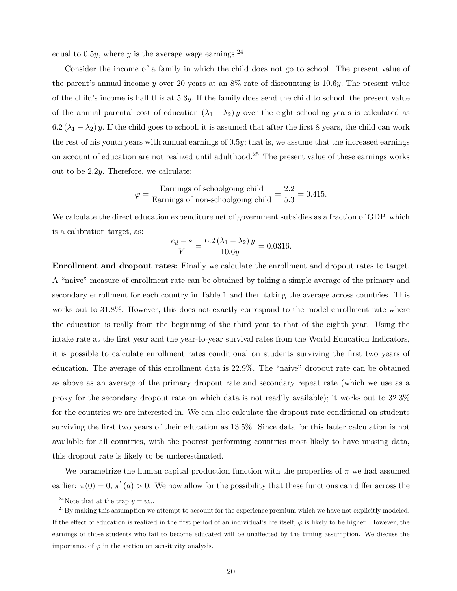equal to 0.5*y*, where *y* is the average wage earnings.<sup>24</sup>

Consider the income of a family in which the child does not go to school. The present value of the parent's annual income y over 20 years at an  $8\%$  rate of discounting is 10.6y. The present value of the child's income is half this at  $5.3y$ . If the family does send the child to school, the present value of the annual parental cost of education  $(\lambda_1 - \lambda_2) y$  over the eight schooling years is calculated as  $6.2(\lambda_1 - \lambda_2)$  y. If the child goes to school, it is assumed that after the first 8 years, the child can work the rest of his youth years with annual earnings of 0.5y; that is, we assume that the increased earnings on account of education are not realized until adulthood.25 The present value of these earnings works out to be 2.2y. Therefore, we calculate:

$$
\varphi = \frac{\text{Earnings of schoolgoing child}}{\text{Earnings of non-schoolgoing child}} = \frac{2.2}{5.3} = 0.415.
$$

We calculate the direct education expenditure net of government subsidies as a fraction of GDP, which is a calibration target, as:

$$
\frac{e_d - s}{Y} = \frac{6.2(\lambda_1 - \lambda_2)y}{10.6y} = 0.0316.
$$

Enrollment and dropout rates: Finally we calculate the enrollment and dropout rates to target. A "naive" measure of enrollment rate can be obtained by taking a simple average of the primary and secondary enrollment for each country in Table 1 and then taking the average across countries. This works out to 31.8%. However, this does not exactly correspond to the model enrollment rate where the education is really from the beginning of the third year to that of the eighth year. Using the intake rate at the first year and the year-to-year survival rates from the World Education Indicators, it is possible to calculate enrollment rates conditional on students surviving the first two years of education. The average of this enrollment data is 22.9%. The "naive" dropout rate can be obtained as above as an average of the primary dropout rate and secondary repeat rate (which we use as a proxy for the secondary dropout rate on which data is not readily available); it works out to 32.3% for the countries we are interested in. We can also calculate the dropout rate conditional on students surviving the first two years of their education as 13.5%. Since data for this latter calculation is not available for all countries, with the poorest performing countries most likely to have missing data, this dropout rate is likely to be underestimated.

We parametrize the human capital production function with the properties of  $\pi$  we had assumed earlier:  $\pi(0) = 0$ ,  $\pi'(a) > 0$ . We now allow for the possibility that these functions can differ across the

<sup>&</sup>lt;sup>24</sup>Note that at the trap  $y = w_u$ .

 $^{25}$ By making this assumption we attempt to account for the experience premium which we have not explicitly modeled. If the effect of education is realized in the first period of an individual's life itself,  $\varphi$  is likely to be higher. However, the earnings of those students who fail to become educated will be unaffected by the timing assumption. We discuss the importance of  $\varphi$  in the section on sensitivity analysis.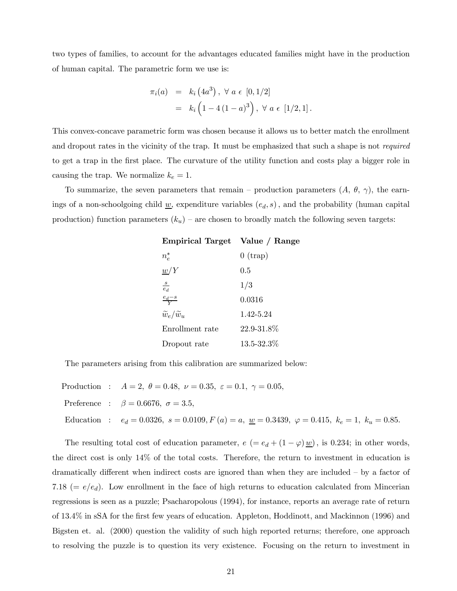two types of families, to account for the advantages educated families might have in the production of human capital. The parametric form we use is:

$$
\pi_i(a) = k_i(4a^3), \forall a \in [0, 1/2]
$$
  
=  $k_i(1 - 4(1 - a)^3), \forall a \in [1/2, 1].$ 

This convex-concave parametric form was chosen because it allows us to better match the enrollment and dropout rates in the vicinity of the trap. It must be emphasized that such a shape is not *required* to get a trap in the first place. The curvature of the utility function and costs play a bigger role in causing the trap. We normalize  $k_e = 1$ .

To summarize, the seven parameters that remain – production parameters  $(A, \theta, \gamma)$ , the earnings of a non-schoolgoing child  $\underline{w}$ , expenditure variables  $(e_d, s)$ , and the probability (human capital production) function parameters  $(k_u)$  – are chosen to broadly match the following seven targets:

| Empirical Target Value / Range    |            |
|-----------------------------------|------------|
| $n_e^*$                           | $0$ (trap) |
| w/Y                               | $0.5\,$    |
| $\frac{s}{e_d}$                   | 1/3        |
| $rac{e_d-s}{V}$                   | 0.0316     |
| $\widetilde{w}_e/\widetilde{w}_u$ | 1.42-5.24  |
| Enrollment rate                   | 22.9-31.8% |
| Dropout rate                      | 13.5-32.3% |

The parameters arising from this calibration are summarized below:

Production :  $A = 2, \ \theta = 0.48, \ \nu = 0.35, \ \varepsilon = 0.1, \ \gamma = 0.05,$ Preference :  $\beta = 0.6676, \sigma = 3.5,$ Education :  $e_d = 0.0326$ ,  $s = 0.0109$ ,  $F(a) = a$ ,  $\underline{w} = 0.3439$ ,  $\varphi = 0.415$ ,  $k_e = 1$ ,  $k_u = 0.85$ .

The resulting total cost of education parameter,  $e = e_d + (1 - \varphi) \underline{w}$ , is 0.234; in other words, the direct cost is only 14% of the total costs. Therefore, the return to investment in education is dramatically different when indirect costs are ignored than when they are included — by a factor of 7.18 ( $= e/e_d$ ). Low enrollment in the face of high returns to education calculated from Mincerian regressions is seen as a puzzle; Psacharopolous (1994), for instance, reports an average rate of return of 13.4% in sSA for the first few years of education. Appleton, Hoddinott, and Mackinnon (1996) and Bigsten et. al. (2000) question the validity of such high reported returns; therefore, one approach to resolving the puzzle is to question its very existence. Focusing on the return to investment in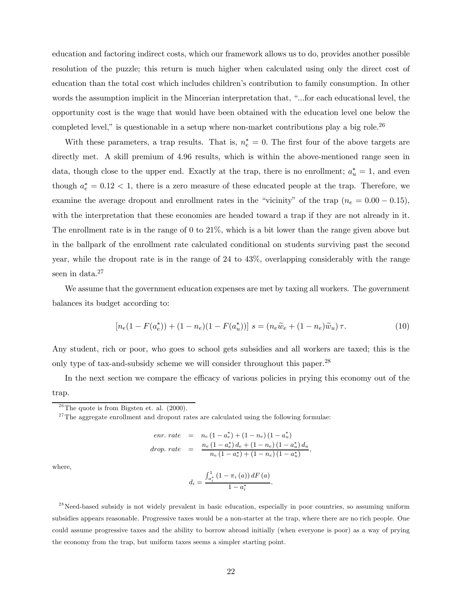education and factoring indirect costs, which our framework allows us to do, provides another possible resolution of the puzzle; this return is much higher when calculated using only the direct cost of education than the total cost which includes children's contribution to family consumption. In other words the assumption implicit in the Mincerian interpretation that, "...for each educational level, the opportunity cost is the wage that would have been obtained with the education level one below the completed level," is questionable in a setup where non-market contributions play a big role.<sup>26</sup>

With these parameters, a trap results. That is,  $n_e^* = 0$ . The first four of the above targets are directly met. A skill premium of 4.96 results, which is within the above-mentioned range seen in data, though close to the upper end. Exactly at the trap, there is no enrollment;  $a_u^* = 1$ , and even though  $a_e^* = 0.12 < 1$ , there is a zero measure of these educated people at the trap. Therefore, we examine the average dropout and enrollment rates in the "vicinity" of the trap ( $n_e = 0.00 - 0.15$ ), with the interpretation that these economies are headed toward a trap if they are not already in it. The enrollment rate is in the range of 0 to 21%, which is a bit lower than the range given above but in the ballpark of the enrollment rate calculated conditional on students surviving past the second year, while the dropout rate is in the range of 24 to 43%, overlapping considerably with the range seen in data.<sup>27</sup>

We assume that the government education expenses are met by taxing all workers. The government balances its budget according to:

$$
[n_e(1 - F(a_e^*)) + (1 - n_e)(1 - F(a_u^*))] \ s = (n_e\widetilde{w}_e + (1 - n_e)\widetilde{w}_u)\tau. \tag{10}
$$

Any student, rich or poor, who goes to school gets subsidies and all workers are taxed; this is the only type of tax-and-subsidy scheme we will consider throughout this paper.<sup>28</sup>

In the next section we compare the efficacy of various policies in prying this economy out of the trap.

$$
enr.\ rate = n_e (1 - a_e^*) + (1 - n_e) (1 - a_u^*)
$$
\n
$$
drop.\ rate = \frac{n_e (1 - a_e^*) d_e + (1 - n_e) (1 - a_u^*) d_u}{n_e (1 - a_e^*) + (1 - n_e) (1 - a_u^*)},
$$

where,

$$
d_i = \frac{\int_{a_i^*}^1 (1 - \pi_i(a)) dF(a)}{1 - a_i^*}.
$$

 $^{28}$ Need-based subsidy is not widely prevalent in basic education, especially in poor countries, so assuming uniform subsidies appears reasonable. Progressive taxes would be a non-starter at the trap, where there are no rich people. One could assume progressive taxes and the ability to borrow abroad initially (when everyone is poor) as a way of prying the economy from the trap, but uniform taxes seems a simpler starting point.

 $2^6$ The quote is from Bigsten et. al. (2000).

 $27$ The aggregate enrollment and dropout rates are calculated using the following formulae: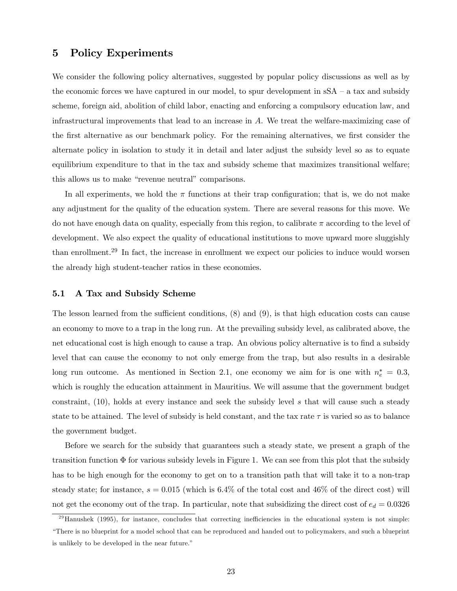## 5 Policy Experiments

We consider the following policy alternatives, suggested by popular policy discussions as well as by the economic forces we have captured in our model, to spur development in  $sSA - a$  tax and subsidy scheme, foreign aid, abolition of child labor, enacting and enforcing a compulsory education law, and infrastructural improvements that lead to an increase in A. We treat the welfare-maximizing case of the first alternative as our benchmark policy. For the remaining alternatives, we first consider the alternate policy in isolation to study it in detail and later adjust the subsidy level so as to equate equilibrium expenditure to that in the tax and subsidy scheme that maximizes transitional welfare; this allows us to make "revenue neutral" comparisons.

In all experiments, we hold the  $\pi$  functions at their trap configuration; that is, we do not make any adjustment for the quality of the education system. There are several reasons for this move. We do not have enough data on quality, especially from this region, to calibrate  $\pi$  according to the level of development. We also expect the quality of educational institutions to move upward more sluggishly than enrollment.<sup>29</sup> In fact, the increase in enrollment we expect our policies to induce would worsen the already high student-teacher ratios in these economies.

## 5.1 A Tax and Subsidy Scheme

The lesson learned from the sufficient conditions, (8) and (9), is that high education costs can cause an economy to move to a trap in the long run. At the prevailing subsidy level, as calibrated above, the net educational cost is high enough to cause a trap. An obvious policy alternative is to find a subsidy level that can cause the economy to not only emerge from the trap, but also results in a desirable long run outcome. As mentioned in Section 2.1, one economy we aim for is one with  $n_e^* = 0.3$ , which is roughly the education attainment in Mauritius. We will assume that the government budget constraint, (10), holds at every instance and seek the subsidy level s that will cause such a steady state to be attained. The level of subsidy is held constant, and the tax rate  $\tau$  is varied so as to balance the government budget.

Before we search for the subsidy that guarantees such a steady state, we present a graph of the transition function  $\Phi$  for various subsidy levels in Figure 1. We can see from this plot that the subsidy has to be high enough for the economy to get on to a transition path that will take it to a non-trap steady state; for instance,  $s = 0.015$  (which is 6.4% of the total cost and 46% of the direct cost) will not get the economy out of the trap. In particular, note that subsidizing the direct cost of  $e_d = 0.0326$ 

 $^{29}$ Hanushek (1995), for instance, concludes that correcting inefficiencies in the educational system is not simple: "There is no blueprint for a model school that can be reproduced and handed out to policymakers, and such a blueprint is unlikely to be developed in the near future."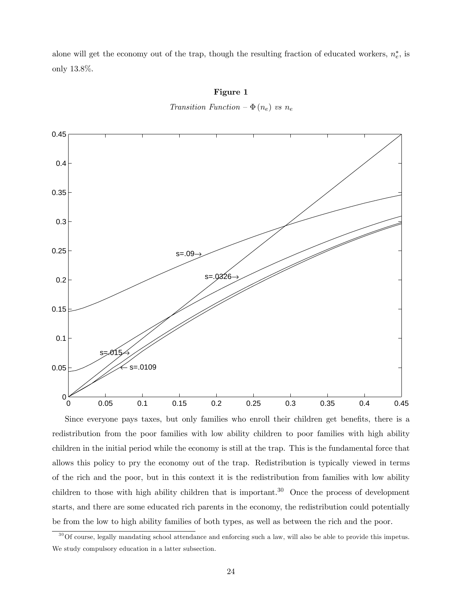alone will get the economy out of the trap, though the resulting fraction of educated workers,  $n_e^*$ , is only 13.8%.



Figure 1

Transition Function  $-\Phi(n_e)$  vs  $n_e$ 

Since everyone pays taxes, but only families who enroll their children get benefits, there is a redistribution from the poor families with low ability children to poor families with high ability children in the initial period while the economy is still at the trap. This is the fundamental force that allows this policy to pry the economy out of the trap. Redistribution is typically viewed in terms of the rich and the poor, but in this context it is the redistribution from families with low ability children to those with high ability children that is important.<sup>30</sup> Once the process of development starts, and there are some educated rich parents in the economy, the redistribution could potentially be from the low to high ability families of both types, as well as between the rich and the poor.

 $30^3$ Of course, legally mandating school attendance and enforcing such a law, will also be able to provide this impetus. We study compulsory education in a latter subsection.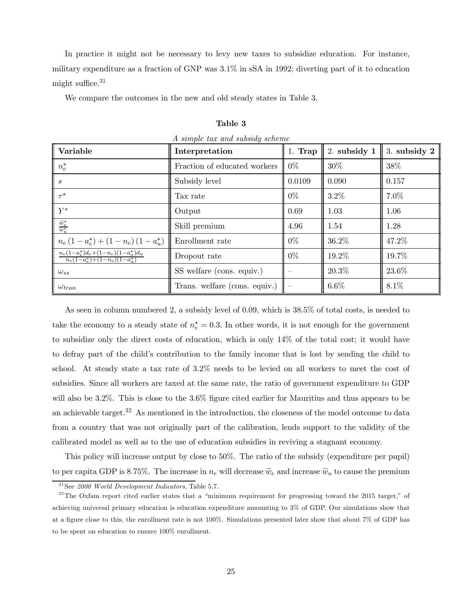In practice it might not be necessary to levy new taxes to subsidize education. For instance, military expenditure as a fraction of GNP was 3.1% in sSA in 1992; diverting part of it to education might suffice. $31$ 

We compare the outcomes in the new and old steady states in Table 3.

| Variable                                                                 | Interpretation                | $1.$ Trap | 2. subsidy $1$ | $3.$ subsidy $2$ |
|--------------------------------------------------------------------------|-------------------------------|-----------|----------------|------------------|
| $n_e^*$                                                                  | Fraction of educated workers  | $0\%$     | 30\%           | 38%              |
| $\boldsymbol{s}$                                                         | 0.0109<br>Subsidy level       |           | 0.090          | 0.157            |
| $\tau^*$                                                                 | Tax rate                      | $0\%$     | $3.2\%$        | 7.0%             |
| $Y^*$<br>Output                                                          |                               | 0.69      | 1.03           | 1.06             |
| $\frac{\widetilde{w}_e^*}{\widetilde{w}_u^*}$<br>Skill premium           |                               | 4.96      | 1.54           | 1.28             |
| $n_e(1-a_e^*) + (1-n_e)(1-a_u^*)$                                        | Enrollment rate               | $0\%$     | 36.2%          | 47.2%            |
| $n_e(1-a_e^*)d_e+(1-n_e)(1-a_u^*)d_u$<br>$n_e(1-a_e^*)+(1-n_e)(1-a_u^*)$ | Dropout rate                  | $0\%$     | 19.2%          | 19.7%            |
| $\omega_{ss}$                                                            | SS welfare (cons. equiv.)     |           | 20.3%          | 23.6%            |
| $\omega_{tran}$                                                          | Trans. welfare (cons. equiv.) |           | $6.6\%$        | 8.1%             |

Table 3

As seen in column numbered 2, a subsidy level of 0.09, which is 38.5% of total costs, is needed to take the economy to a steady state of  $n_e^* = 0.3$ . In other words, it is not enough for the government to subsidize only the direct costs of education, which is only 14% of the total cost; it would have to defray part of the child's contribution to the family income that is lost by sending the child to school. At steady state a tax rate of 3.2% needs to be levied on all workers to meet the cost of subsidies. Since all workers are taxed at the same rate, the ratio of government expenditure to GDP will also be 3.2%. This is close to the 3.6% figure cited earlier for Mauritius and thus appears to be an achievable target.<sup>32</sup> As mentioned in the introduction, the closeness of the model outcome to data from a country that was not originally part of the calibration, lends support to the validity of the calibrated model as well as to the use of education subsidies in reviving a stagnant economy.

This policy will increase output by close to 50%. The ratio of the subsidy (expenditure per pupil) to per capita GDP is 8.75%. The increase in  $n_e$  will decrease  $\tilde{w}_e$  and increase  $\tilde{w}_u$  to cause the premium

 $31$ See 2000 World Development Indicators, Table 5.7.

<sup>&</sup>lt;sup>32</sup>The Oxfam report cited earlier states that a "minimum requirement for progressing toward the 2015 target," of achieving universal primary education is education expenditure amounting to 3% of GDP. Our simulations show that at a figure close to this, the enrollment rate is not 100%. Simulations presented later show that about 7% of GDP has to be spent on education to ensure 100% enrollment.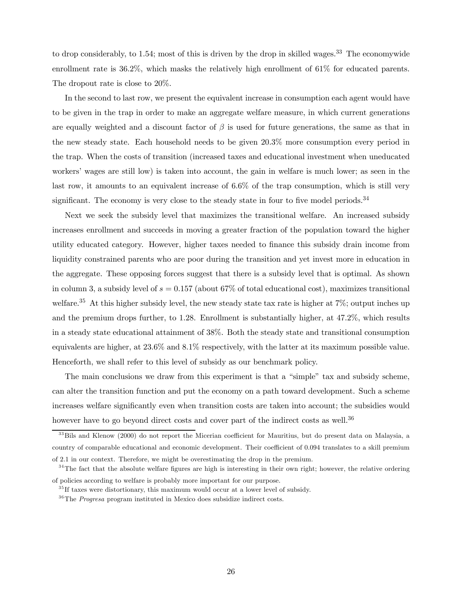to drop considerably, to 1.54; most of this is driven by the drop in skilled wages.<sup>33</sup> The economywide enrollment rate is 36.2%, which masks the relatively high enrollment of 61% for educated parents. The dropout rate is close to 20%.

In the second to last row, we present the equivalent increase in consumption each agent would have to be given in the trap in order to make an aggregate welfare measure, in which current generations are equally weighted and a discount factor of  $\beta$  is used for future generations, the same as that in the new steady state. Each household needs to be given 20.3% more consumption every period in the trap. When the costs of transition (increased taxes and educational investment when uneducated workers' wages are still low) is taken into account, the gain in welfare is much lower; as seen in the last row, it amounts to an equivalent increase of 6.6% of the trap consumption, which is still very significant. The economy is very close to the steady state in four to five model periods.<sup>34</sup>

Next we seek the subsidy level that maximizes the transitional welfare. An increased subsidy increases enrollment and succeeds in moving a greater fraction of the population toward the higher utility educated category. However, higher taxes needed to finance this subsidy drain income from liquidity constrained parents who are poor during the transition and yet invest more in education in the aggregate. These opposing forces suggest that there is a subsidy level that is optimal. As shown in column 3, a subsidy level of  $s = 0.157$  (about 67% of total educational cost), maximizes transitional welfare.<sup>35</sup> At this higher subsidy level, the new steady state tax rate is higher at 7%; output inches up and the premium drops further, to 1.28. Enrollment is substantially higher, at 47.2%, which results in a steady state educational attainment of 38%. Both the steady state and transitional consumption equivalents are higher, at 23.6% and 8.1% respectively, with the latter at its maximum possible value. Henceforth, we shall refer to this level of subsidy as our benchmark policy.

The main conclusions we draw from this experiment is that a "simple" tax and subsidy scheme, can alter the transition function and put the economy on a path toward development. Such a scheme increases welfare significantly even when transition costs are taken into account; the subsidies would however have to go beyond direct costs and cover part of the indirect costs as well.<sup>36</sup>

<sup>&</sup>lt;sup>33</sup>Bils and Klenow (2000) do not report the Micerian coefficient for Mauritius, but do present data on Malaysia, a country of comparable educational and economic development. Their coefficient of 0.094 translates to a skill premium of 2.1 in our context. Therefore, we might be overestimating the drop in the premium.

 $34$ The fact that the absolute welfare figures are high is interesting in their own right; however, the relative ordering of policies according to welfare is probably more important for our purpose.

 $35$  If taxes were distortionary, this maximum would occur at a lower level of subsidy.

 $36$ The *Progresa* program instituted in Mexico does subsidize indirect costs.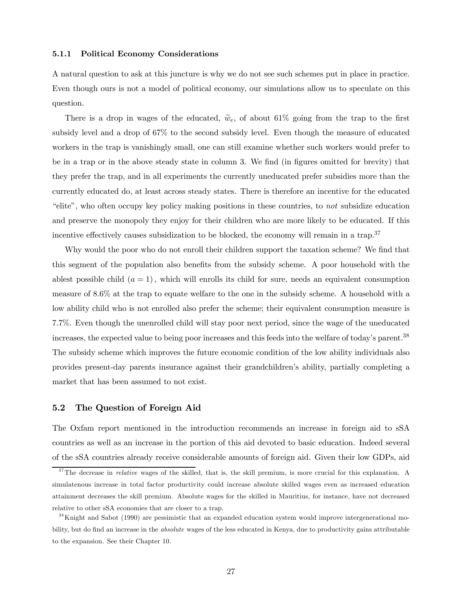#### 5.1.1 Political Economy Considerations

A natural question to ask at this juncture is why we do not see such schemes put in place in practice. Even though ours is not a model of political economy, our simulations allow us to speculate on this question.

There is a drop in wages of the educated,  $\tilde{w}_e$ , of about 61% going from the trap to the first subsidy level and a drop of 67% to the second subsidy level. Even though the measure of educated workers in the trap is vanishingly small, one can still examine whether such workers would prefer to be in a trap or in the above steady state in column 3. We find (in figures omitted for brevity) that they prefer the trap, and in all experiments the currently uneducated prefer subsidies more than the currently educated do, at least across steady states. There is therefore an incentive for the educated "elite", who often occupy key policy making positions in these countries, to not subsidize education and preserve the monopoly they enjoy for their children who are more likely to be educated. If this incentive effectively causes subsidization to be blocked, the economy will remain in a trap.<sup>37</sup>

Why would the poor who do not enroll their children support the taxation scheme? We find that this segment of the population also benefits from the subsidy scheme. A poor household with the ablest possible child  $(a = 1)$ , which will enrolls its child for sure, needs an equivalent consumption measure of 8.6% at the trap to equate welfare to the one in the subsidy scheme. A household with a low ability child who is not enrolled also prefer the scheme; their equivalent consumption measure is 7.7%. Even though the unenrolled child will stay poor next period, since the wage of the uneducated increases, the expected value to being poor increases and this feeds into the welfare of today's parent.38 The subsidy scheme which improves the future economic condition of the low ability individuals also provides present-day parents insurance against their grandchildren's ability, partially completing a market that has been assumed to not exist.

## 5.2 The Question of Foreign Aid

The Oxfam report mentioned in the introduction recommends an increase in foreign aid to sSA countries as well as an increase in the portion of this aid devoted to basic education. Indeed several of the sSA countries already receive considerable amounts of foreign aid. Given their low GDPs, aid

 $37$ The decrease in *relative* wages of the skilled, that is, the skill premium, is more crucial for this explanation. A simulatenous increase in total factor productivity could increase absolute skilled wages even as increased education attainment decreases the skill premium. Absolute wages for the skilled in Mauritius, for instance, have not decreased relative to other sSA economies that are closer to a trap.

<sup>&</sup>lt;sup>38</sup>Knight and Sabot (1990) are pessimistic that an expanded education system would improve intergenerational mobility, but do find an increase in the *absolute* wages of the less educated in Kenya, due to productivity gains attributable to the expansion. See their Chapter 10.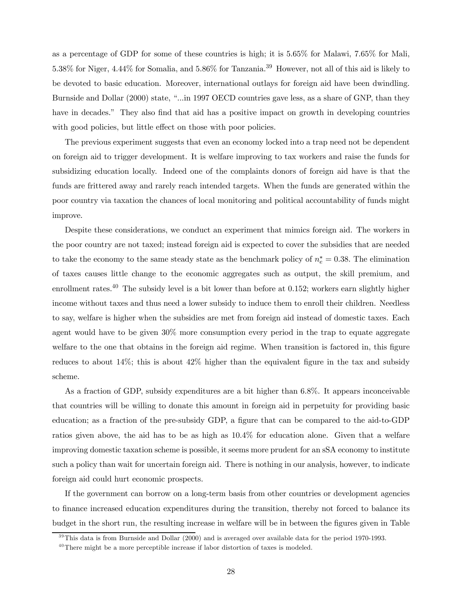as a percentage of GDP for some of these countries is high; it is 5.65% for Malawi, 7.65% for Mali, 5.38% for Niger, 4.44% for Somalia, and 5.86% for Tanzania.39 However, not all of this aid is likely to be devoted to basic education. Moreover, international outlays for foreign aid have been dwindling. Burnside and Dollar (2000) state, "...in 1997 OECD countries gave less, as a share of GNP, than they have in decades." They also find that aid has a positive impact on growth in developing countries with good policies, but little effect on those with poor policies.

The previous experiment suggests that even an economy locked into a trap need not be dependent on foreign aid to trigger development. It is welfare improving to tax workers and raise the funds for subsidizing education locally. Indeed one of the complaints donors of foreign aid have is that the funds are frittered away and rarely reach intended targets. When the funds are generated within the poor country via taxation the chances of local monitoring and political accountability of funds might improve.

Despite these considerations, we conduct an experiment that mimics foreign aid. The workers in the poor country are not taxed; instead foreign aid is expected to cover the subsidies that are needed to take the economy to the same steady state as the benchmark policy of  $n_e^* = 0.38$ . The elimination of taxes causes little change to the economic aggregates such as output, the skill premium, and enrollment rates.<sup>40</sup> The subsidy level is a bit lower than before at 0.152; workers earn slightly higher income without taxes and thus need a lower subsidy to induce them to enroll their children. Needless to say, welfare is higher when the subsidies are met from foreign aid instead of domestic taxes. Each agent would have to be given 30% more consumption every period in the trap to equate aggregate welfare to the one that obtains in the foreign aid regime. When transition is factored in, this figure reduces to about 14%; this is about 42% higher than the equivalent figure in the tax and subsidy scheme.

As a fraction of GDP, subsidy expenditures are a bit higher than 6.8%. It appears inconceivable that countries will be willing to donate this amount in foreign aid in perpetuity for providing basic education; as a fraction of the pre-subsidy GDP, a figure that can be compared to the aid-to-GDP ratios given above, the aid has to be as high as 10.4% for education alone. Given that a welfare improving domestic taxation scheme is possible, it seems more prudent for an sSA economy to institute such a policy than wait for uncertain foreign aid. There is nothing in our analysis, however, to indicate foreign aid could hurt economic prospects.

If the government can borrow on a long-term basis from other countries or development agencies to finance increased education expenditures during the transition, thereby not forced to balance its budget in the short run, the resulting increase in welfare will be in between the figures given in Table

 $39$ This data is from Burnside and Dollar (2000) and is averaged over available data for the period 1970-1993.

 $40$ There might be a more perceptible increase if labor distortion of taxes is modeled.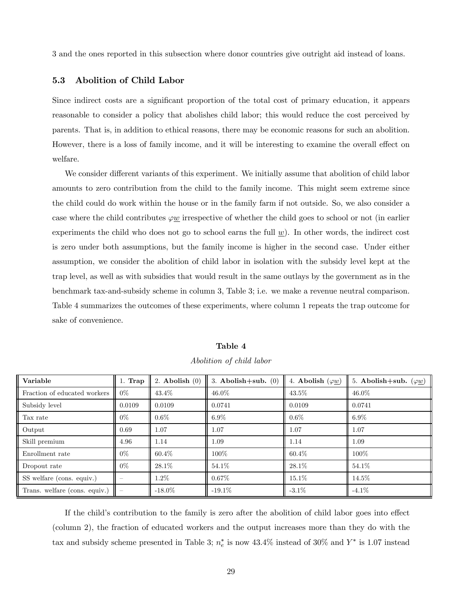3 and the ones reported in this subsection where donor countries give outright aid instead of loans.

## 5.3 Abolition of Child Labor

Since indirect costs are a significant proportion of the total cost of primary education, it appears reasonable to consider a policy that abolishes child labor; this would reduce the cost perceived by parents. That is, in addition to ethical reasons, there may be economic reasons for such an abolition. However, there is a loss of family income, and it will be interesting to examine the overall effect on welfare.

We consider different variants of this experiment. We initially assume that abolition of child labor amounts to zero contribution from the child to the family income. This might seem extreme since the child could do work within the house or in the family farm if not outside. So, we also consider a case where the child contributes  $\varphi \underline{w}$  irrespective of whether the child goes to school or not (in earlier experiments the child who does not go to school earns the full  $\underline{w}$ ). In other words, the indirect cost is zero under both assumptions, but the family income is higher in the second case. Under either assumption, we consider the abolition of child labor in isolation with the subsidy level kept at the trap level, as well as with subsidies that would result in the same outlays by the government as in the benchmark tax-and-subsidy scheme in column 3, Table 3; i.e. we make a revenue neutral comparison. Table 4 summarizes the outcomes of these experiments, where column 1 repeats the trap outcome for sake of convenience.

| Variable                      | $1.$ Trap | 2. Abolish $(0)$ | 3. Abolish $+\text{sub.}$ (0) | 4. Abolish $(\varphi \underline{w})$ | 5. Abolish+sub. $(\varphi \underline{w})$ |
|-------------------------------|-----------|------------------|-------------------------------|--------------------------------------|-------------------------------------------|
| Fraction of educated workers  | $0\%$     | 43.4\%           | $46.0\%$                      | 43.5%                                | $46.0\%$                                  |
| Subsidy level                 | 0.0109    | 0.0109           | 0.0741                        | 0.0109                               | 0.0741                                    |
| Tax rate                      | $0\%$     | $0.6\%$          | $6.9\%$                       | $0.6\%$                              | $6.9\%$                                   |
| Output                        | 0.69      | 1.07             | 1.07                          | 1.07                                 | 1.07                                      |
| Skill premium                 | 4.96      | 1.14             | 1.09                          | 1.14                                 | 1.09                                      |
| Enrollment rate               | $0\%$     | $60.4\%$         | 100%                          | $60.4\%$                             | 100\%                                     |
| Dropout rate                  | $0\%$     | 28.1%            | 54.1\%                        | 28.1%                                | 54.1\%                                    |
| SS welfare (cons. equiv.)     |           | 1.2%             | $0.67\%$                      | 15.1\%                               | 14.5%                                     |
| Trans. welfare (cons. equiv.) |           | $-18.0\%$        | $-19.1\%$                     | $-3.1\%$                             | $-4.1\%$                                  |

Table 4 Abolition of child labor

If the child's contribution to the family is zero after the abolition of child labor goes into effect (column 2), the fraction of educated workers and the output increases more than they do with the tax and subsidy scheme presented in Table 3;  $n_e^*$  is now 43.4% instead of 30% and  $Y^*$  is 1.07 instead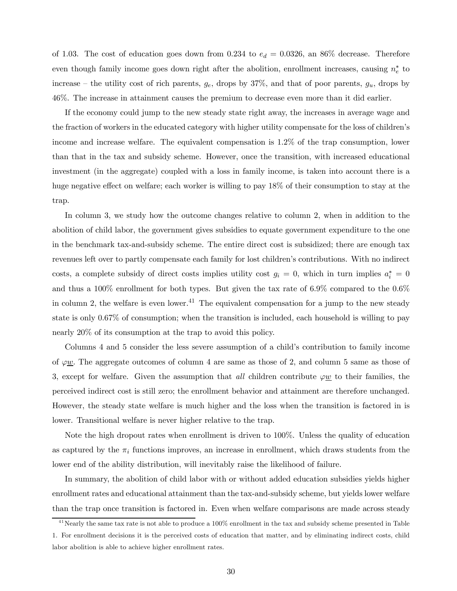of 1.03. The cost of education goes down from 0.234 to  $e_d = 0.0326$ , an 86% decrease. Therefore even though family income goes down right after the abolition, enrollment increases, causing  $n_e^*$  to increase – the utility cost of rich parents,  $g_e$ , drops by 37%, and that of poor parents,  $g_u$ , drops by 46%. The increase in attainment causes the premium to decrease even more than it did earlier.

If the economy could jump to the new steady state right away, the increases in average wage and the fraction of workers in the educated category with higher utility compensate for the loss of children's income and increase welfare. The equivalent compensation is 1.2% of the trap consumption, lower than that in the tax and subsidy scheme. However, once the transition, with increased educational investment (in the aggregate) coupled with a loss in family income, is taken into account there is a huge negative effect on welfare; each worker is willing to pay 18% of their consumption to stay at the trap.

In column 3, we study how the outcome changes relative to column 2, when in addition to the abolition of child labor, the government gives subsidies to equate government expenditure to the one in the benchmark tax-and-subsidy scheme. The entire direct cost is subsidized; there are enough tax revenues left over to partly compensate each family for lost children's contributions. With no indirect costs, a complete subsidy of direct costs implies utility cost  $g_i = 0$ , which in turn implies  $a_i^* = 0$ and thus a 100% enrollment for both types. But given the tax rate of 6.9% compared to the 0.6% in column 2, the welfare is even lower.<sup>41</sup> The equivalent compensation for a jump to the new steady state is only 0.67% of consumption; when the transition is included, each household is willing to pay nearly 20% of its consumption at the trap to avoid this policy.

Columns 4 and 5 consider the less severe assumption of a child's contribution to family income of  $\varphi$ <u>w</u>. The aggregate outcomes of column 4 are same as those of 2, and column 5 same as those of 3, except for welfare. Given the assumption that all children contribute  $\varphi \underline{w}$  to their families, the perceived indirect cost is still zero; the enrollment behavior and attainment are therefore unchanged. However, the steady state welfare is much higher and the loss when the transition is factored in is lower. Transitional welfare is never higher relative to the trap.

Note the high dropout rates when enrollment is driven to 100%. Unless the quality of education as captured by the  $\pi_i$  functions improves, an increase in enrollment, which draws students from the lower end of the ability distribution, will inevitably raise the likelihood of failure.

In summary, the abolition of child labor with or without added education subsidies yields higher enrollment rates and educational attainment than the tax-and-subsidy scheme, but yields lower welfare than the trap once transition is factored in. Even when welfare comparisons are made across steady

<sup>&</sup>lt;sup>41</sup> Nearly the same tax rate is not able to produce a 100% enrollment in the tax and subsidy scheme presented in Table 1. For enrollment decisions it is the perceived costs of education that matter, and by eliminating indirect costs, child labor abolition is able to achieve higher enrollment rates.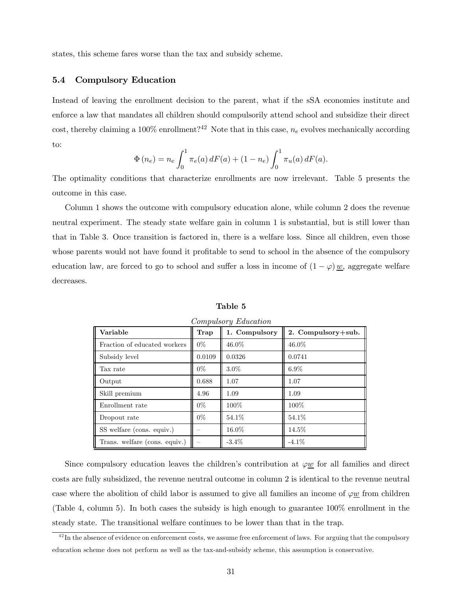states, this scheme fares worse than the tax and subsidy scheme.

## 5.4 Compulsory Education

Instead of leaving the enrollment decision to the parent, what if the sSA economies institute and enforce a law that mandates all children should compulsorily attend school and subsidize their direct cost, thereby claiming a 100% enrollment?<sup>42</sup> Note that in this case,  $n_e$  evolves mechanically according to:

$$
\Phi(n_e) = n_e \int_0^1 \pi_e(a) dF(a) + (1 - n_e) \int_0^1 \pi_u(a) dF(a).
$$

The optimality conditions that characterize enrollments are now irrelevant. Table 5 presents the outcome in this case.

Column 1 shows the outcome with compulsory education alone, while column 2 does the revenue neutral experiment. The steady state welfare gain in column 1 is substantial, but is still lower than that in Table 3. Once transition is factored in, there is a welfare loss. Since all children, even those whose parents would not have found it profitable to send to school in the absence of the compulsory education law, are forced to go to school and suffer a loss in income of  $(1 - \varphi) \underline{w}$ , aggregate welfare decreases.

| Variable                      | Trap   | 1. Compulsory | 2. Compulsory+sub. |
|-------------------------------|--------|---------------|--------------------|
| Fraction of educated workers  | $0\%$  | 46.0%         | 46.0%              |
| Subsidy level                 | 0.0109 | 0.0326        | 0.0741             |
| Tax rate                      | $0\%$  | $3.0\%$       | $6.9\%$            |
| Output                        | 0.688  | 1.07          | 1.07               |
| Skill premium                 | 4.96   | 1.09          | 1.09               |
| Enrollment rate               | $0\%$  | 100\%         | 100\%              |
| Dropout rate                  | $0\%$  | 54.1\%        | 54.1\%             |
| SS welfare (cons. equiv.)     |        | 16.0%         | 14.5%              |
| Trans. welfare (cons. equiv.) |        | $-3.4\%$      | $-4.1\%$           |

Table 5

Compulsory Education

Since compulsory education leaves the children's contribution at  $\varphi w$  for all families and direct costs are fully subsidized, the revenue neutral outcome in column 2 is identical to the revenue neutral case where the abolition of child labor is assumed to give all families an income of  $\varphi \underline{w}$  from children (Table 4, column 5). In both cases the subsidy is high enough to guarantee 100% enrollment in the steady state. The transitional welfare continues to be lower than that in the trap.

 $42$  In the absence of evidence on enforcement costs, we assume free enforcement of laws. For arguing that the compulsory education scheme does not perform as well as the tax-and-subsidy scheme, this assumption is conservative.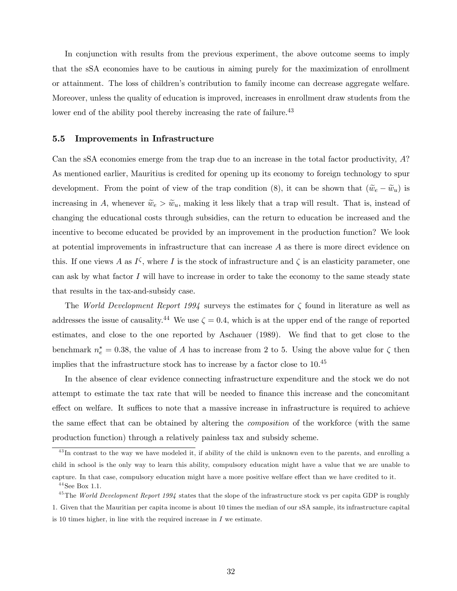In conjunction with results from the previous experiment, the above outcome seems to imply that the sSA economies have to be cautious in aiming purely for the maximization of enrollment or attainment. The loss of children's contribution to family income can decrease aggregate welfare. Moreover, unless the quality of education is improved, increases in enrollment draw students from the lower end of the ability pool thereby increasing the rate of failure.<sup>43</sup>

#### 5.5 Improvements in Infrastructure

Can the sSA economies emerge from the trap due to an increase in the total factor productivity, A? As mentioned earlier, Mauritius is credited for opening up its economy to foreign technology to spur development. From the point of view of the trap condition (8), it can be shown that  $(\tilde{w}_e - \tilde{w}_u)$  is increasing in A, whenever  $\tilde{w}_e > \tilde{w}_u$ , making it less likely that a trap will result. That is, instead of changing the educational costs through subsidies, can the return to education be increased and the incentive to become educated be provided by an improvement in the production function? We look at potential improvements in infrastructure that can increase A as there is more direct evidence on this. If one views A as  $I^{\zeta}$ , where I is the stock of infrastructure and  $\zeta$  is an elasticity parameter, one can ask by what factor  $I$  will have to increase in order to take the economy to the same steady state that results in the tax-and-subsidy case.

The World Development Report 1994 surveys the estimates for  $\zeta$  found in literature as well as addresses the issue of causality.<sup>44</sup> We use  $\zeta = 0.4$ , which is at the upper end of the range of reported estimates, and close to the one reported by Aschauer (1989). We find that to get close to the benchmark  $n_e^* = 0.38$ , the value of A has to increase from 2 to 5. Using the above value for  $\zeta$  then implies that the infrastructure stock has to increase by a factor close to  $10.^{45}\,$ 

In the absence of clear evidence connecting infrastructure expenditure and the stock we do not attempt to estimate the tax rate that will be needed to finance this increase and the concomitant effect on welfare. It suffices to note that a massive increase in infrastructure is required to achieve the same effect that can be obtained by altering the composition of the workforce (with the same production function) through a relatively painless tax and subsidy scheme.

<sup>&</sup>lt;sup>43</sup>In contrast to the way we have modeled it, if ability of the child is unknown even to the parents, and enrolling a child in school is the only way to learn this ability, compulsory education might have a value that we are unable to capture. In that case, compulsory education might have a more positive welfare effect than we have credited to it.

 $44$  See Box 1.1.

 $^{45}$ The World Development Report 1994 states that the slope of the infrastructure stock vs per capita GDP is roughly 1. Given that the Mauritian per capita income is about 10 times the median of our sSA sample, its infrastructure capital is 10 times higher, in line with the required increase in  $I$  we estimate.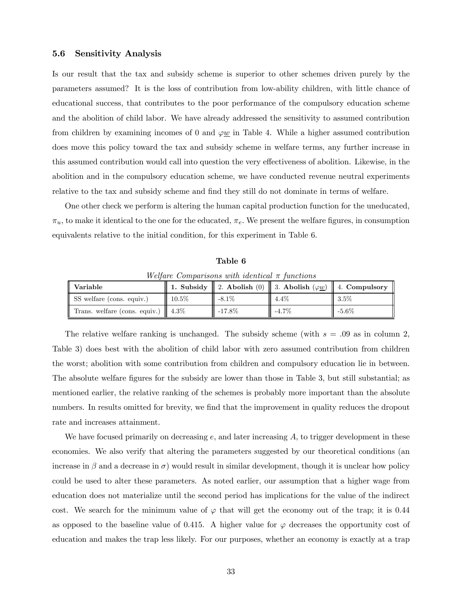## 5.6 Sensitivity Analysis

Is our result that the tax and subsidy scheme is superior to other schemes driven purely by the parameters assumed? It is the loss of contribution from low-ability children, with little chance of educational success, that contributes to the poor performance of the compulsory education scheme and the abolition of child labor. We have already addressed the sensitivity to assumed contribution from children by examining incomes of 0 and  $\varphi \underline{w}$  in Table 4. While a higher assumed contribution does move this policy toward the tax and subsidy scheme in welfare terms, any further increase in this assumed contribution would call into question the very effectiveness of abolition. Likewise, in the abolition and in the compulsory education scheme, we have conducted revenue neutral experiments relative to the tax and subsidy scheme and find they still do not dominate in terms of welfare.

One other check we perform is altering the human capital production function for the uneducated,  $\pi_u$ , to make it identical to the one for the educated,  $\pi_e$ . We present the welfare figures, in consumption equivalents relative to the initial condition, for this experiment in Table 6.

Table 6

Welfare Comparisons with identical  $\pi$  functions

| Variable                                       |          |          | 1. Subsidy    2. Abolish (0)    3. Abolish $(\varphi \underline{w})$    4. Compulsory |          |
|------------------------------------------------|----------|----------|---------------------------------------------------------------------------------------|----------|
| SS welfare (cons. equiv.)                      | $10.5\%$ | $-8.1\%$ | $4.4\%$                                                                               | $3.5\%$  |
| Trans. welfare (cons. equiv.) $\parallel$ 4.3% |          | -17.8%   | $-4.7\%$                                                                              | $-5.6\%$ |

The relative welfare ranking is unchanged. The subsidy scheme (with  $s = .09$  as in column 2, Table 3) does best with the abolition of child labor with zero assumed contribution from children the worst; abolition with some contribution from children and compulsory education lie in between. The absolute welfare figures for the subsidy are lower than those in Table 3, but still substantial; as mentioned earlier, the relative ranking of the schemes is probably more important than the absolute numbers. In results omitted for brevity, we find that the improvement in quality reduces the dropout rate and increases attainment.

We have focused primarily on decreasing  $e$ , and later increasing  $A$ , to trigger development in these economies. We also verify that altering the parameters suggested by our theoretical conditions (an increase in  $\beta$  and a decrease in  $\sigma$ ) would result in similar development, though it is unclear how policy could be used to alter these parameters. As noted earlier, our assumption that a higher wage from education does not materialize until the second period has implications for the value of the indirect cost. We search for the minimum value of  $\varphi$  that will get the economy out of the trap; it is 0.44 as opposed to the baseline value of 0.415. A higher value for  $\varphi$  decreases the opportunity cost of education and makes the trap less likely. For our purposes, whether an economy is exactly at a trap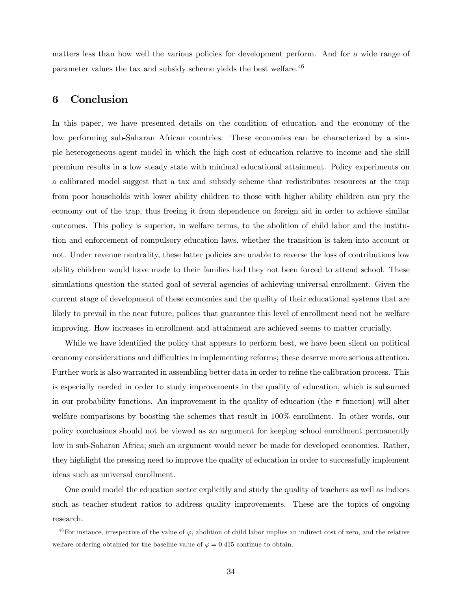matters less than how well the various policies for development perform. And for a wide range of parameter values the tax and subsidy scheme yields the best welfare.<sup>46</sup>

## 6 Conclusion

In this paper, we have presented details on the condition of education and the economy of the low performing sub-Saharan African countries. These economies can be characterized by a simple heterogeneous-agent model in which the high cost of education relative to income and the skill premium results in a low steady state with minimal educational attainment. Policy experiments on a calibrated model suggest that a tax and subsidy scheme that redistributes resources at the trap from poor households with lower ability children to those with higher ability children can pry the economy out of the trap, thus freeing it from dependence on foreign aid in order to achieve similar outcomes. This policy is superior, in welfare terms, to the abolition of child labor and the institution and enforcement of compulsory education laws, whether the transition is taken into account or not. Under revenue neutrality, these latter policies are unable to reverse the loss of contributions low ability children would have made to their families had they not been forced to attend school. These simulations question the stated goal of several agencies of achieving universal enrollment. Given the current stage of development of these economies and the quality of their educational systems that are likely to prevail in the near future, polices that guarantee this level of enrollment need not be welfare improving. How increases in enrollment and attainment are achieved seems to matter crucially.

While we have identified the policy that appears to perform best, we have been silent on political economy considerations and difficulties in implementing reforms; these deserve more serious attention. Further work is also warranted in assembling better data in order to refine the calibration process. This is especially needed in order to study improvements in the quality of education, which is subsumed in our probability functions. An improvement in the quality of education (the  $\pi$  function) will alter welfare comparisons by boosting the schemes that result in 100% enrollment. In other words, our policy conclusions should not be viewed as an argument for keeping school enrollment permanently low in sub-Saharan Africa; such an argument would never be made for developed economies. Rather, they highlight the pressing need to improve the quality of education in order to successfully implement ideas such as universal enrollment.

One could model the education sector explicitly and study the quality of teachers as well as indices such as teacher-student ratios to address quality improvements. These are the topics of ongoing research.

<sup>&</sup>lt;sup>46</sup>For instance, irrespective of the value of  $\varphi$ , abolition of child labor implies an indirect cost of zero, and the relative welfare ordering obtained for the baseline value of  $\varphi = 0.415$  continue to obtain.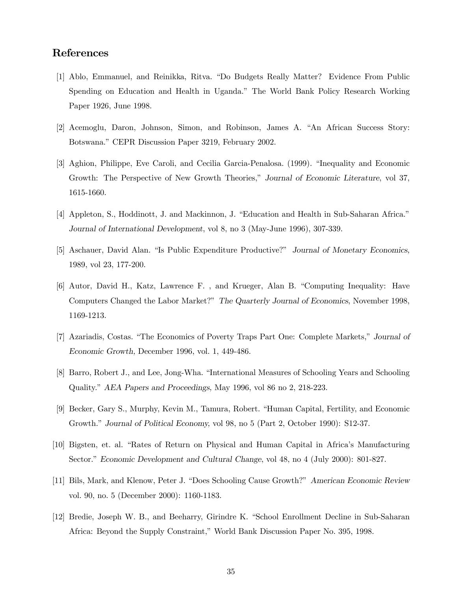## References

- [1] Ablo, Emmanuel, and Reinikka, Ritva. "Do Budgets Really Matter? Evidence From Public Spending on Education and Health in Uganda." The World Bank Policy Research Working Paper 1926, June 1998.
- [2] Acemoglu, Daron, Johnson, Simon, and Robinson, James A. "An African Success Story: Botswana." CEPR Discussion Paper 3219, February 2002.
- [3] Aghion, Philippe, Eve Caroli, and Cecilia Garcia-Penalosa. (1999). "Inequality and Economic Growth: The Perspective of New Growth Theories," Journal of Economic Literature, vol 37, 1615-1660.
- [4] Appleton, S., Hoddinott, J. and Mackinnon, J. "Education and Health in Sub-Saharan Africa." Journal of International Development, vol 8, no 3 (May-June 1996), 307-339.
- [5] Aschauer, David Alan. "Is Public Expenditure Productive?" Journal of Monetary Economics, 1989, vol 23, 177-200.
- [6] Autor, David H., Katz, Lawrence F. , and Krueger, Alan B. "Computing Inequality: Have Computers Changed the Labor Market?" The Quarterly Journal of Economics, November 1998, 1169-1213.
- [7] Azariadis, Costas. "The Economics of Poverty Traps Part One: Complete Markets," Journal of Economic Growth, December 1996, vol. 1, 449-486.
- [8] Barro, Robert J., and Lee, Jong-Wha. "International Measures of Schooling Years and Schooling Quality." AEA Papers and Proceedings, May 1996, vol 86 no 2, 218-223.
- [9] Becker, Gary S., Murphy, Kevin M., Tamura, Robert. "Human Capital, Fertility, and Economic Growth." Journal of Political Economy, vol 98, no 5 (Part 2, October 1990): S12-37.
- [10] Bigsten, et. al. "Rates of Return on Physical and Human Capital in Africa's Manufacturing Sector." Economic Development and Cultural Change, vol 48, no 4 (July 2000): 801-827.
- [11] Bils, Mark, and Klenow, Peter J. "Does Schooling Cause Growth?" American Economic Review vol. 90, no. 5 (December 2000): 1160-1183.
- [12] Bredie, Joseph W. B., and Beeharry, Girindre K. "School Enrollment Decline in Sub-Saharan Africa: Beyond the Supply Constraint," World Bank Discussion Paper No. 395, 1998.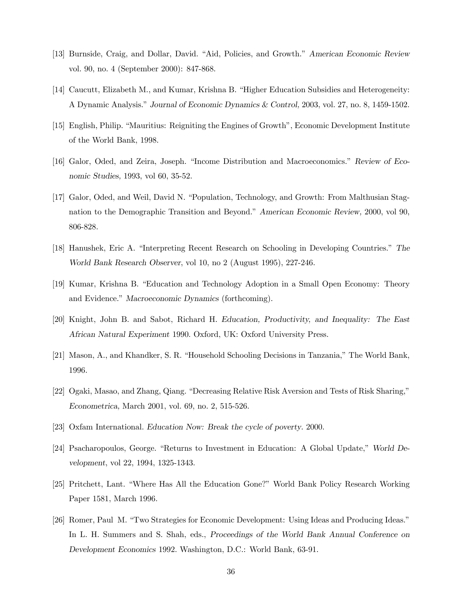- [13] Burnside, Craig, and Dollar, David. "Aid, Policies, and Growth." American Economic Review vol. 90, no. 4 (September 2000): 847-868.
- [14] Caucutt, Elizabeth M., and Kumar, Krishna B. "Higher Education Subsidies and Heterogeneity: A Dynamic Analysis." Journal of Economic Dynamics & Control, 2003, vol. 27, no. 8, 1459-1502.
- [15] English, Philip. "Mauritius: Reigniting the Engines of Growth", Economic Development Institute of the World Bank, 1998.
- [16] Galor, Oded, and Zeira, Joseph. "Income Distribution and Macroeconomics." Review of Economic Studies, 1993, vol 60, 35-52.
- [17] Galor, Oded, and Weil, David N. "Population, Technology, and Growth: From Malthusian Stagnation to the Demographic Transition and Beyond." American Economic Review, 2000, vol 90, 806-828.
- [18] Hanushek, Eric A. "Interpreting Recent Research on Schooling in Developing Countries." The World Bank Research Observer, vol 10, no 2 (August 1995), 227-246.
- [19] Kumar, Krishna B. "Education and Technology Adoption in a Small Open Economy: Theory and Evidence." Macroeconomic Dynamics (forthcoming).
- [20] Knight, John B. and Sabot, Richard H. Education, Productivity, and Inequality: The East African Natural Experiment 1990. Oxford, UK: Oxford University Press.
- [21] Mason, A., and Khandker, S. R. "Household Schooling Decisions in Tanzania," The World Bank, 1996.
- [22] Ogaki, Masao, and Zhang, Qiang. "Decreasing Relative Risk Aversion and Tests of Risk Sharing," Econometrica, March 2001, vol. 69, no. 2, 515-526.
- [23] Oxfam International. Education Now: Break the cycle of poverty. 2000.
- [24] Psacharopoulos, George. "Returns to Investment in Education: A Global Update," World Development, vol 22, 1994, 1325-1343.
- [25] Pritchett, Lant. "Where Has All the Education Gone?" World Bank Policy Research Working Paper 1581, March 1996.
- [26] Romer, Paul M. "Two Strategies for Economic Development: Using Ideas and Producing Ideas." In L. H. Summers and S. Shah, eds., Proceedings of the World Bank Annual Conference on Development Economics 1992. Washington, D.C.: World Bank, 63-91.